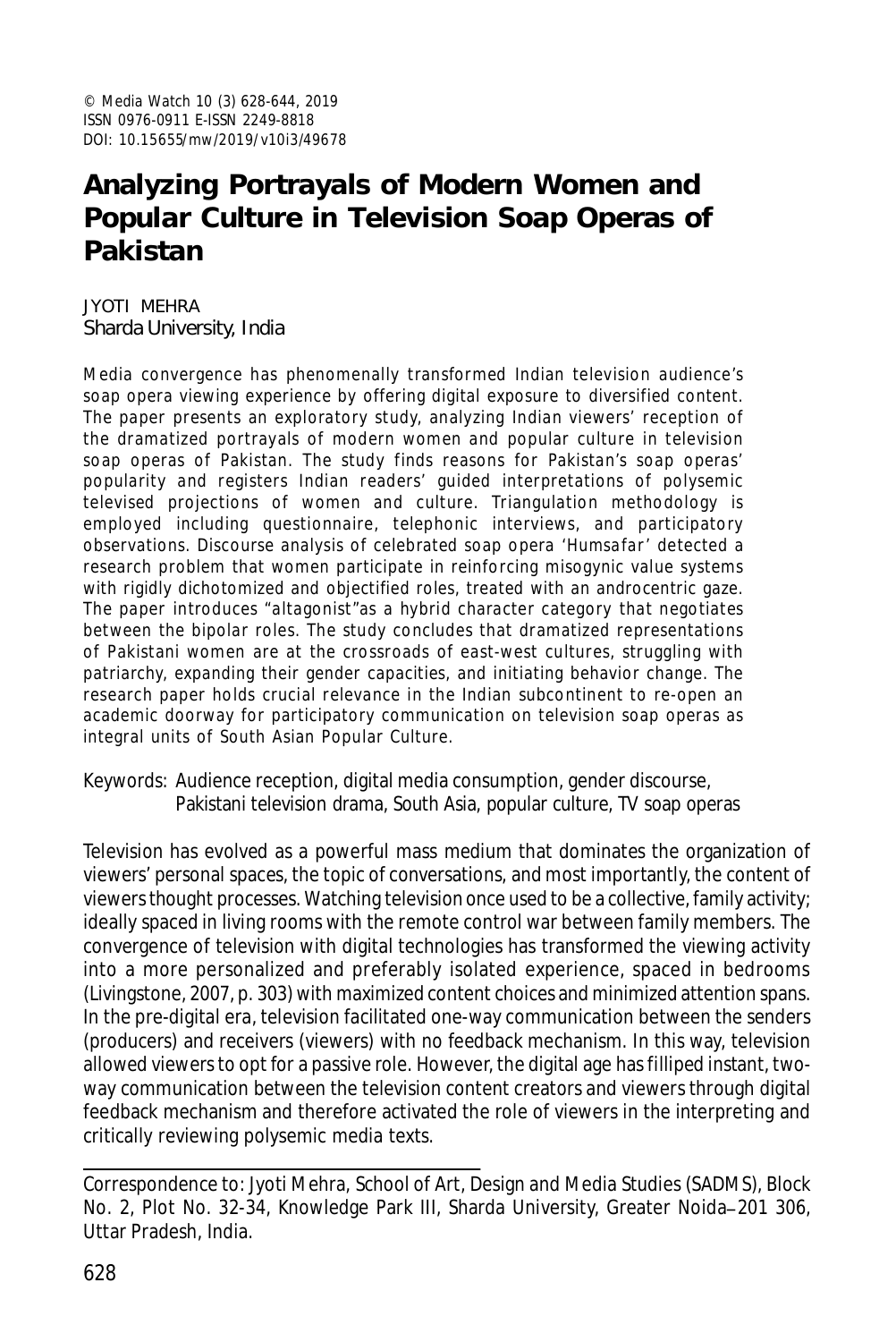# **Analyzing Portrayals of Modern Women and Popular Culture in Television Soap Operas of Pakistan**

JYOTI MEHRA Sharda University, India

Media convergence has phenomenally transformed Indian television audience's soap opera viewing experience by offering digital exposure to diversified content. The paper presents an exploratory study, analyzing Indian viewers' reception of the dramatized portrayals of modern women and popular culture in television soap operas of Pakistan. The study finds reasons for Pakistan's soap operas' popularity and registers Indian readers' guided interpretations of polysemic televised projections of women and culture. Triangulation methodology is employed including questionnaire, telephonic interviews, and participatory observations. Discourse analysis of celebrated soap opera *'Humsafar '* detected a research problem that women participate in reinforcing misogynic value systems with rigidly dichotomized and objectified roles, treated with an androcentric gaze. The paper introduces "altagonist"as a hybrid character category that negotiates between the bipolar roles. The study concludes that dramatized representations of Pakistani women are at the crossroads of east-west cultures, struggling with patriarchy, expanding their gender capacities, and initiating behavior change. The research paper holds crucial relevance in the Indian subcontinent to re-open an academic doorway for participatory communication on television soap operas as integral units of South Asian Popular Culture.

Keywords: Audience reception, digital media consumption, gender discourse, Pakistani television drama, South Asia, popular culture, TV soap operas

Television has evolved as a powerful mass medium that dominates the organization of viewers' personal spaces, the topic of conversations, and most importantly, the content of viewers thought processes. Watching television once used to be a collective, family activity; ideally spaced in living rooms with the remote control war between family members. The convergence of television with digital technologies has transformed the viewing activity into a more personalized and preferably isolated experience, spaced in bedrooms (Livingstone, 2007, p. 303) with maximized content choices and minimized attention spans. In the pre-digital era, television facilitated one-way communication between the senders (producers) and receivers (viewers) with no feedback mechanism. In this way, television allowed viewers to opt for a passive role. However, the digital age has filliped instant, twoway communication between the television content creators and viewers through digital feedback mechanism and therefore activated the role of viewers in the interpreting and critically reviewing polysemic media texts.

Correspondence to: Jyoti Mehra, School of Art, Design and Media Studies (SADMS), Block No. 2, Plot No. 32-34, Knowledge Park III, Sharda University, Greater Noida-201 306, Uttar Pradesh, India.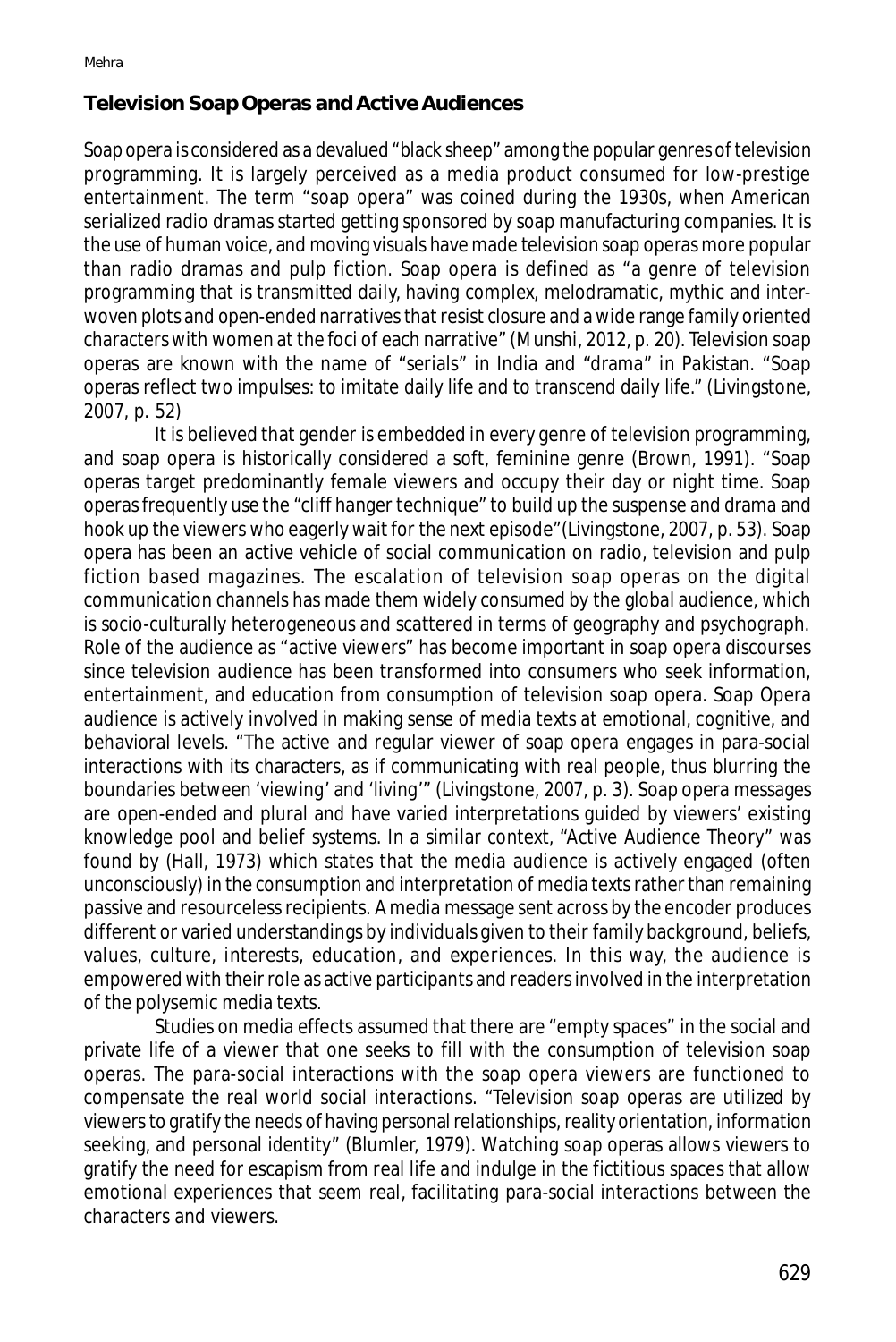#### **Television Soap Operas and Active Audiences**

Soap opera is considered as a devalued "black sheep" among the popular genres of television programming. It is largely perceived as a media product consumed for low-prestige entertainment. The term "soap opera" was coined during the 1930s, when American serialized radio dramas started getting sponsored by soap manufacturing companies. It is the use of human voice, and moving visuals have made television soap operas more popular than radio dramas and pulp fiction. Soap opera is defined as "a genre of television programming that is transmitted daily, having complex, melodramatic, mythic and interwoven plots and open-ended narratives that resist closure and a wide range family oriented characters with women at the foci of each narrative" (Munshi, 2012, p. 20). Television soap operas are known with the name of "serials" in India and "drama" in Pakistan. "Soap operas reflect two impulses: to imitate daily life and to transcend daily life." (Livingstone, 2007, p. 52)

It is believed that gender is embedded in every genre of television programming, and soap opera is historically considered a soft, feminine genre (Brown, 1991). "Soap operas target predominantly female viewers and occupy their day or night time. Soap operas frequently use the "cliff hanger technique" to build up the suspense and drama and hook up the viewers who eagerly wait for the next episode"(Livingstone, 2007, p. 53). Soap opera has been an active vehicle of social communication on radio, television and pulp fiction based magazines. The escalation of television soap operas on the digital communication channels has made them widely consumed by the global audience, which is socio-culturally heterogeneous and scattered in terms of geography and psychograph. Role of the audience as "active viewers" has become important in soap opera discourses since television audience has been transformed into consumers who seek information, entertainment, and education from consumption of television soap opera. Soap Opera audience is actively involved in making sense of media texts at emotional, cognitive, and behavioral levels. "The active and regular viewer of soap opera engages in para-social interactions with its characters, as if communicating with real people, thus blurring the boundaries between 'viewing' and 'living'" (Livingstone, 2007, p. 3). Soap opera messages are open-ended and plural and have varied interpretations guided by viewers' existing knowledge pool and belief systems. In a similar context, "Active Audience Theory" was found by (Hall, 1973) which states that the media audience is actively engaged (often unconsciously) in the consumption and interpretation of media texts rather than remaining passive and resourceless recipients. A media message sent across by the encoder produces different or varied understandings by individuals given to their family background, beliefs, values, culture, interests, education, and experiences. In this way, the audience is empowered with their role as active participants and readers involved in the interpretation of the polysemic media texts.

Studies on media effects assumed that there are "empty spaces" in the social and private life of a viewer that one seeks to fill with the consumption of television soap operas. The para-social interactions with the soap opera viewers are functioned to compensate the real world social interactions. "Television soap operas are utilized by viewers to gratify the needs of having personal relationships, reality orientation, information seeking, and personal identity" (Blumler, 1979). Watching soap operas allows viewers to gratify the need for escapism from real life and indulge in the fictitious spaces that allow emotional experiences that seem real, facilitating para-social interactions between the characters and viewers.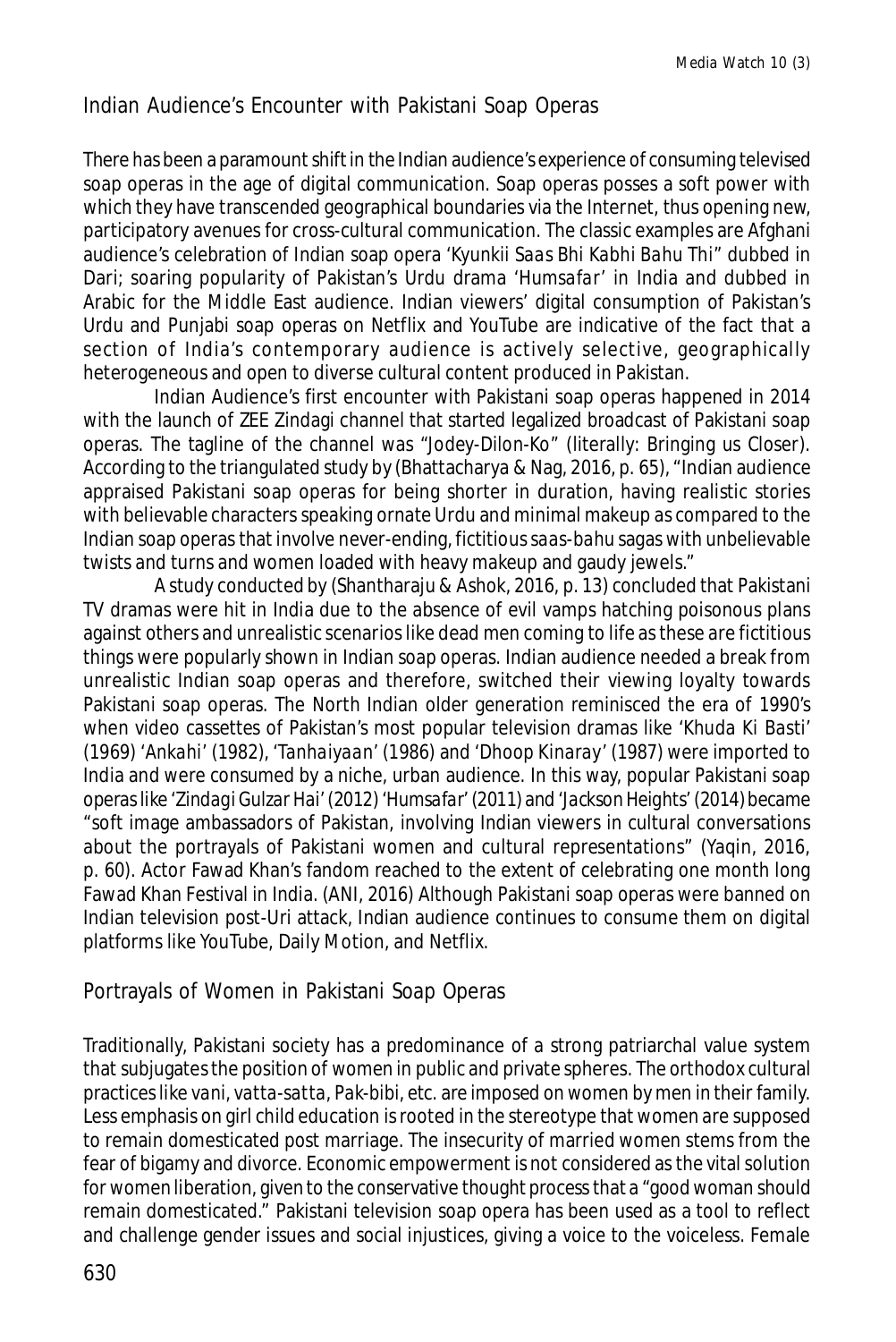# Indian Audience's Encounter with Pakistani Soap Operas

There has been a paramount shift in the Indian audience's experience of consuming televised soap operas in the age of digital communication. Soap operas posses a soft power with which they have transcended geographical boundaries via the Internet, thus opening new, participatory avenues for cross-cultural communication. The classic examples are Afghani audience's celebration of Indian soap opera *'Kyunkii Saas Bhi Kabhi Bahu Thi"* dubbed in Dari; soaring popularity of Pakistan's Urdu drama *'Humsafar'* in India and dubbed in Arabic for the Middle East audience. Indian viewers' digital consumption of Pakistan's Urdu and Punjabi soap operas on Netflix and YouTube are indicative of the fact that a section of India's contemporary audience is actively selective, geographically heterogeneous and open to diverse cultural content produced in Pakistan.

Indian Audience's first encounter with Pakistani soap operas happened in 2014 with the launch of ZEE Zindagi channel that started legalized broadcast of Pakistani soap operas. The tagline of the channel was *"Jodey-Dilon-Ko"* (literally: Bringing us Closer). According to the triangulated study by (Bhattacharya & Nag, 2016, p. 65), "Indian audience appraised Pakistani soap operas for being shorter in duration, having realistic stories with believable characters speaking ornate Urdu and minimal makeup as compared to the Indian soap operas that involve never-ending, fictitious *saas-bahu* sagas with unbelievable twists and turns and women loaded with heavy makeup and gaudy jewels."

A study conducted by (Shantharaju & Ashok, 2016, p. 13) concluded that Pakistani TV dramas were hit in India due to the absence of evil vamps hatching poisonous plans against others and unrealistic scenarios like dead men coming to life as these are fictitious things were popularly shown in Indian soap operas. Indian audience needed a break from unrealistic Indian soap operas and therefore, switched their viewing loyalty towards Pakistani soap operas. The North Indian older generation reminisced the era of 1990's when video cassettes of Pakistan's most popular television dramas like '*Khuda Ki Basti*' (1969) '*Ankahi'* (1982), *'Tanhaiyaan'* (1986) and *'Dhoop Kinaray'* (1987) were imported to India and were consumed by a niche, urban audience. In this way, popular Pakistani soap operas like '*Zindagi Gulzar Hai' (2012) 'Humsafar*' (2011) and '*Jackson Heights' (2014)* became "soft image ambassadors of Pakistan, involving Indian viewers in cultural conversations about the portrayals of Pakistani women and cultural representations" (Yaqin, 2016, p. 60). Actor Fawad Khan's fandom reached to the extent of celebrating one month long Fawad Khan Festival in India. (ANI, 2016) Although Pakistani soap operas were banned on Indian television post-Uri attack, Indian audience continues to consume them on digital platforms like YouTube, Daily Motion, and Netflix.

# Portrayals of Women in Pakistani Soap Operas

Traditionally, Pakistani society has a predominance of a strong patriarchal value system that subjugates the position of women in public and private spheres. The orthodox cultural practices like *vani, vatta-satta, Pak-bibi,* etc. are imposed on women by men in their family. Less emphasis on girl child education is rooted in the stereotype that women are supposed to remain domesticated post marriage. The insecurity of married women stems from the fear of bigamy and divorce. Economic empowerment is not considered as the vital solution for women liberation, given to the conservative thought process that a "good woman should remain domesticated." Pakistani television soap opera has been used as a tool to reflect and challenge gender issues and social injustices, giving a voice to the voiceless. Female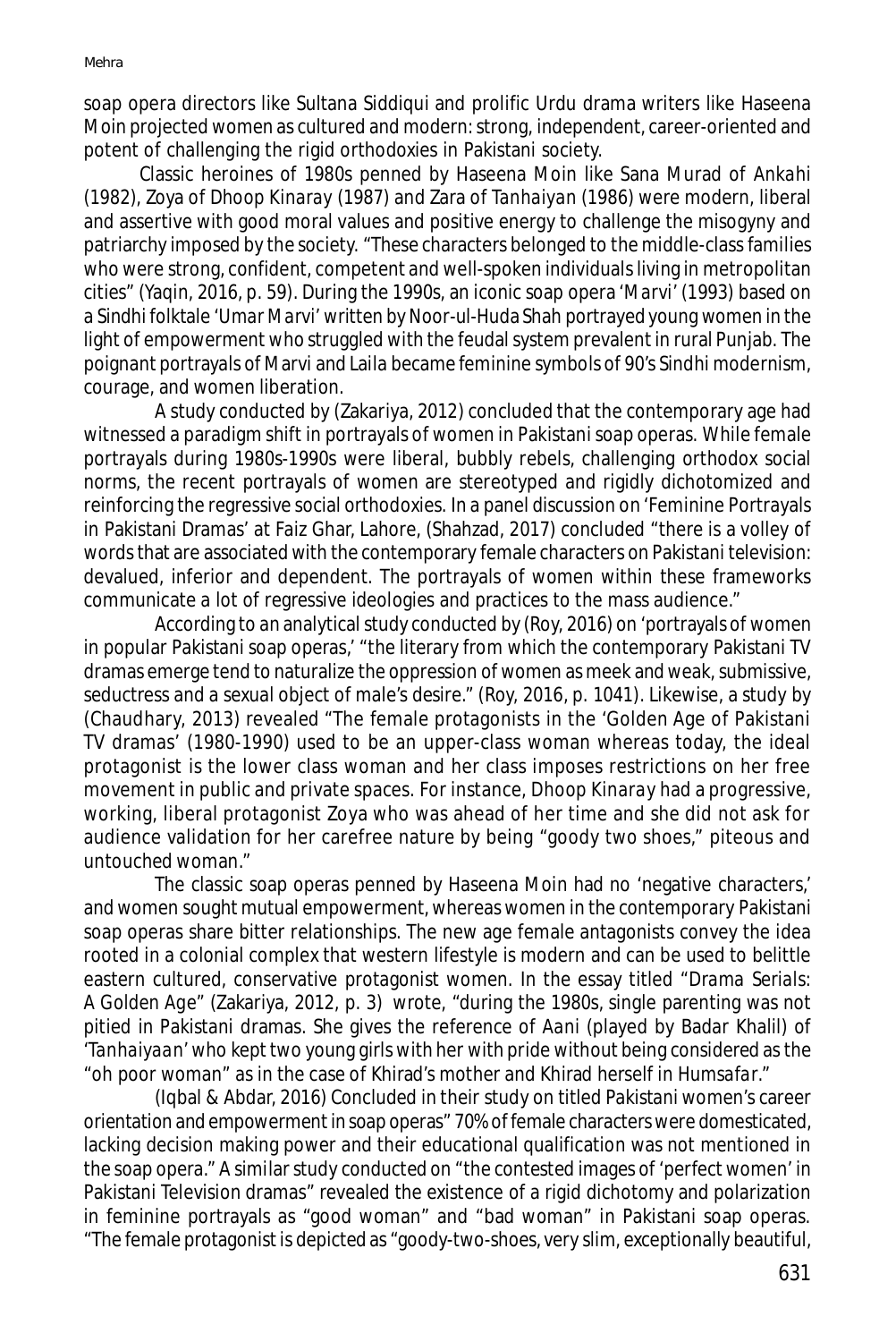soap opera directors like Sultana Siddiqui and prolific Urdu drama writers like Haseena Moin projected women as cultured and modern: strong, independent, career-oriented and potent of challenging the rigid orthodoxies in Pakistani society.

Classic heroines of 1980s penned by Haseena Moin like Sana Murad of *Ankahi (1982)*, Zoya of *Dhoop Kinaray (1987)* and Zara of *Tanhaiyan (1986)* were modern, liberal and assertive with good moral values and positive energy to challenge the misogyny and patriarchy imposed by the society. "These characters belonged to the middle-class families who were strong, confident, competent and well-spoken individuals living in metropolitan cities" (Yaqin, 2016, p. 59). During the 1990s, an iconic soap opera *'Marvi'* (1993) based on a Sindhi folktale *'Umar Marvi'* written by Noor-ul-Huda Shah portrayed young women in the light of empowerment who struggled with the feudal system prevalent in rural Punjab. The poignant portrayals of Marvi and Laila became feminine symbols of 90's Sindhi modernism, courage, and women liberation.

A study conducted by (Zakariya, 2012) concluded that the contemporary age had witnessed a paradigm shift in portrayals of women in Pakistani soap operas. While female portrayals during 1980s-1990s were liberal, bubbly rebels, challenging orthodox social norms, the recent portrayals of women are stereotyped and rigidly dichotomized and reinforcing the regressive social orthodoxies. In a panel discussion on 'Feminine Portrayals in Pakistani Dramas' at Faiz Ghar, Lahore, (Shahzad, 2017) concluded "there is a volley of words that are associated with the contemporary female characters on Pakistani television: devalued, inferior and dependent. The portrayals of women within these frameworks communicate a lot of regressive ideologies and practices to the mass audience."

According to an analytical study conducted by (Roy, 2016) on 'portrayals of women in popular Pakistani soap operas,' "the literary from which the contemporary Pakistani TV dramas emerge tend to naturalize the oppression of women as meek and weak, submissive, seductress and a sexual object of male's desire." (Roy, 2016, p. 1041). Likewise, a study by (Chaudhary, 2013) revealed "The female protagonists in the 'Golden Age of Pakistani TV dramas' (1980-1990) used to be an upper-class woman whereas today, the ideal protagonist is the lower class woman and her class imposes restrictions on her free movement in public and private spaces. For instance, *Dhoop Kinaray* had a progressive, working, liberal protagonist Zoya who was ahead of her time and she did not ask for audience validation for her carefree nature by being "goody two shoes," piteous and untouched woman."

The classic soap operas penned by Haseena Moin had no 'negative characters,' and women sought mutual empowerment, whereas women in the contemporary Pakistani soap operas share bitter relationships. The new age female antagonists convey the idea rooted in a colonial complex that western lifestyle is modern and can be used to belittle eastern cultured, conservative protagonist women. In the essay titled *"Drama Serials: A Golden Age"* (Zakariya, 2012, p. 3) wrote, "during the 1980s, single parenting was not pitied in Pakistani dramas. She gives the reference of *Aani* (played by Badar Khalil) of '*Tanhaiyaan'* who kept two young girls with her with pride without being considered as the "oh poor woman" as in the case of Khirad's mother and Khirad herself in *Humsafar*."

(Iqbal & Abdar, 2016) Concluded in their study on titled Pakistani women's career orientation and empowerment in soap operas" 70% of female characters were domesticated, lacking decision making power and their educational qualification was not mentioned in the soap opera." A similar study conducted on "the contested images of 'perfect women' in Pakistani Television dramas" revealed the existence of a rigid dichotomy and polarization in feminine portrayals as "good woman" and "bad woman" in Pakistani soap operas. "The female protagonist is depicted as "goody-two-shoes, very slim, exceptionally beautiful,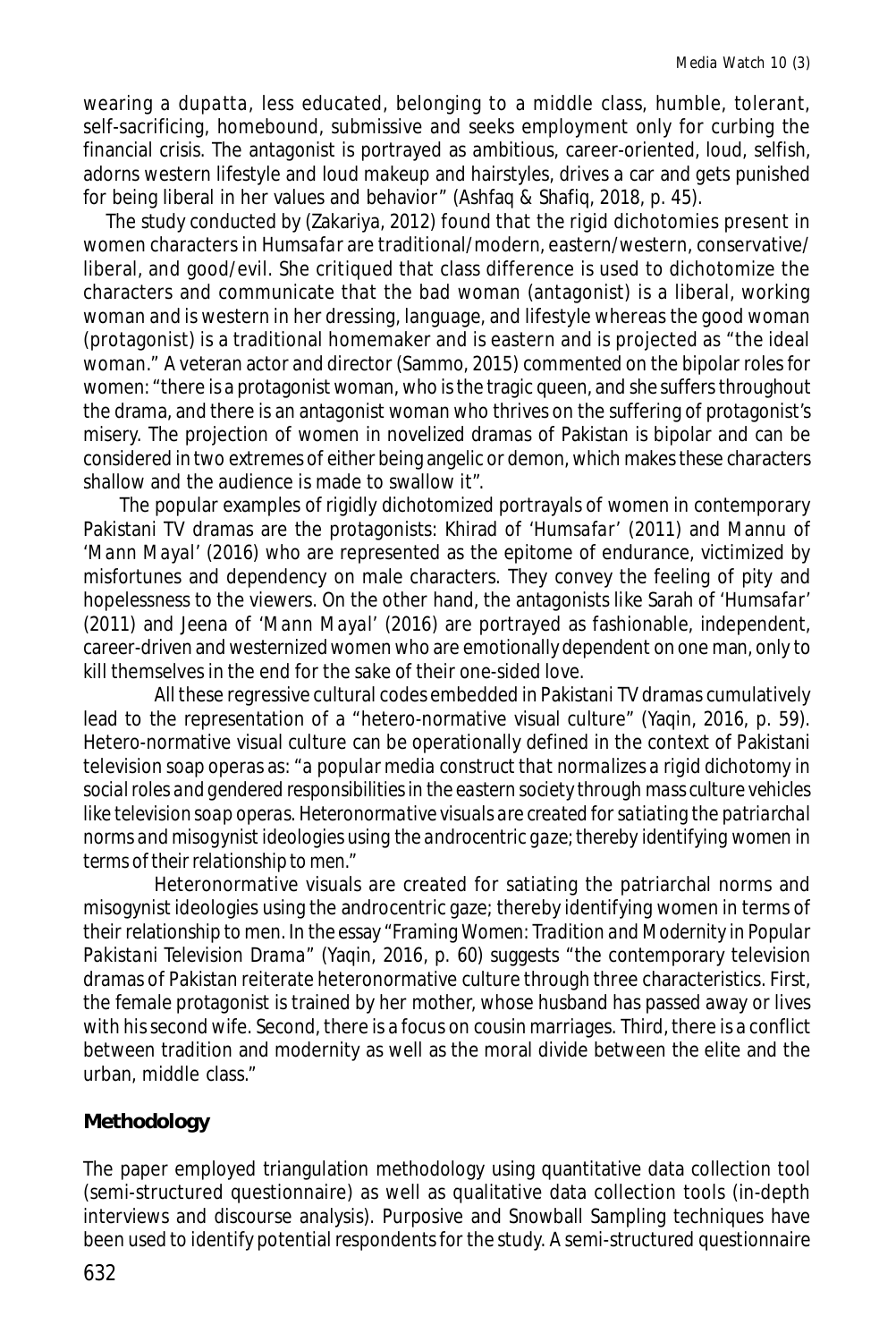wearing a *dupatta*, less educated, belonging to a middle class, humble, tolerant, self-sacrificing, homebound, submissive and seeks employment only for curbing the financial crisis. The antagonist is portrayed as ambitious, career-oriented, loud, selfish, adorns western lifestyle and loud makeup and hairstyles, drives a car and gets punished for being liberal in her values and behavior" (Ashfaq & Shafiq, 2018, p. 45).

The study conducted by (Zakariya, 2012) found that the rigid dichotomies present in women characters in *Humsafar* are traditional/modern, eastern/western, conservative/ liberal, and good/evil. She critiqued that class difference is used to dichotomize the characters and communicate that the bad woman (antagonist) is a liberal, working woman and is western in her dressing, language, and lifestyle whereas the good woman (protagonist) is a traditional homemaker and is eastern and is projected as "the ideal woman." A veteran actor and director (Sammo, 2015) commented on the bipolar roles for women: "there is a protagonist woman, who is the tragic queen, and she suffers throughout the drama, and there is an antagonist woman who thrives on the suffering of protagonist's misery. The projection of women in novelized dramas of Pakistan is bipolar and can be considered in two extremes of either being angelic or demon, which makes these characters shallow and the audience is made to swallow it".

The popular examples of rigidly dichotomized portrayals of women in contemporary Pakistani TV dramas are the protagonists: Khirad of *'Humsafar'* (2011) and Mannu of *'Mann Mayal'* (2016) who are represented as the epitome of endurance, victimized by misfortunes and dependency on male characters. They convey the feeling of pity and hopelessness to the viewers. On the other hand, the antagonists like Sarah of *'Humsafar'* (2011) and Jeena of *'Mann Mayal'* (2016) are portrayed as fashionable, independent, career-driven and westernized women who are emotionally dependent on one man, only to kill themselves in the end for the sake of their one-sided love.

All these regressive cultural codes embedded in Pakistani TV dramas cumulatively lead to the representation of a "hetero-normative visual culture" (Yaqin, 2016, p. 59). Hetero-normative visual culture can be operationally defined in the context of Pakistani television soap operas as: *"a popular media construct that normalizes a rigid dichotomy in social roles and gendered responsibilities in the eastern society through mass culture vehicles like television soap operas. Heteronormative visuals are created for satiating the patriarchal norms and misogynist ideologies using the androcentric gaze; thereby identifying women in terms of their relationship to men."*

Heteronormative visuals are created for satiating the patriarchal norms and misogynist ideologies using the androcentric gaze; thereby identifying women in terms of their relationship to men. In the essay "*Framing Women: Tradition and Modernity in Popular Pakistani Television Drama"* (Yaqin, 2016, p. 60) suggests "the contemporary television dramas of Pakistan reiterate heteronormative culture through three characteristics. First, the female protagonist is trained by her mother, whose husband has passed away or lives with his second wife. Second, there is a focus on cousin marriages. Third, there is a conflict between tradition and modernity as well as the moral divide between the elite and the urban, middle class."

# **Methodology**

The paper employed triangulation methodology using quantitative data collection tool (semi-structured questionnaire) as well as qualitative data collection tools (in-depth interviews and discourse analysis). Purposive and Snowball Sampling techniques have been used to identify potential respondents for the study. A semi-structured questionnaire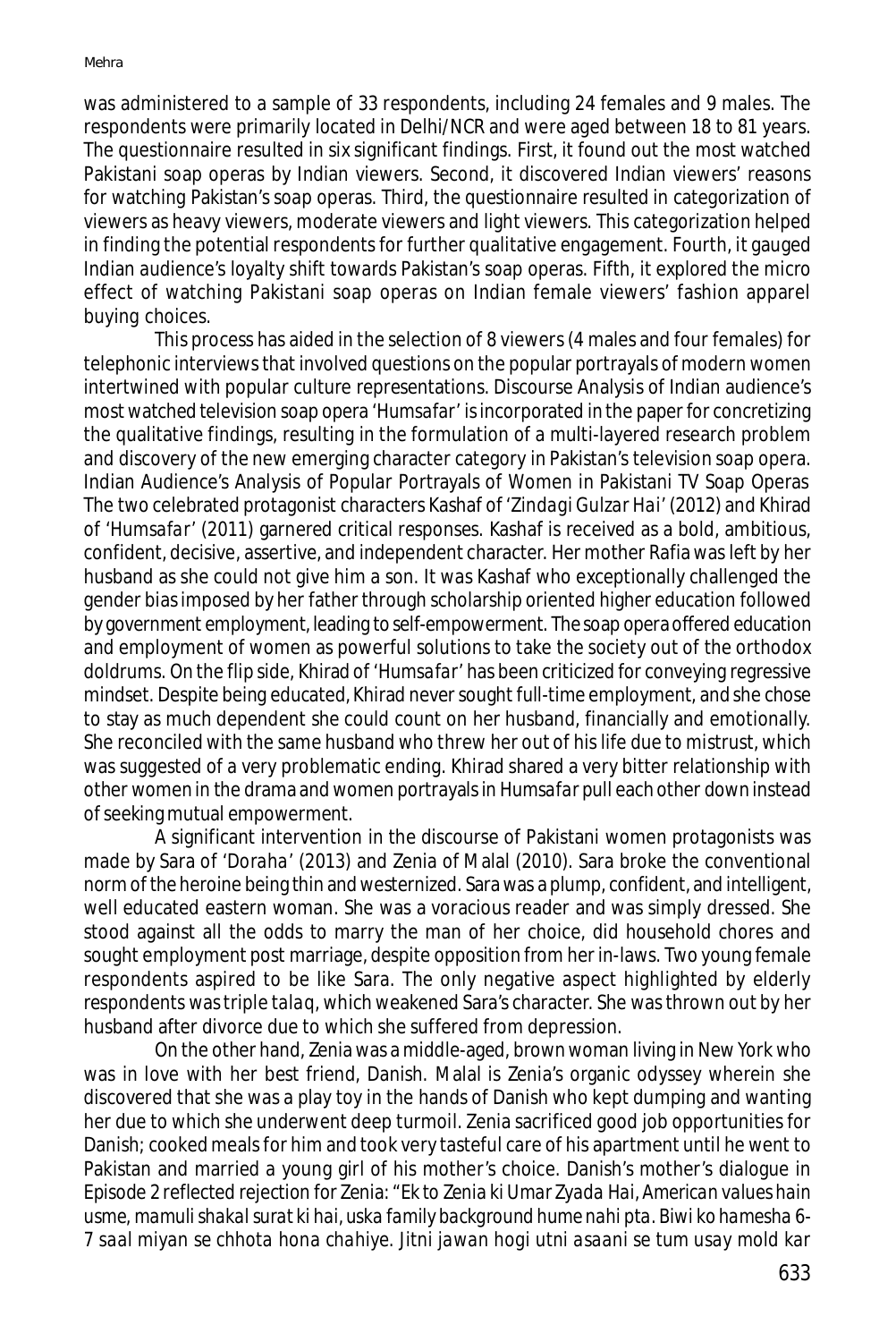was administered to a sample of 33 respondents, including 24 females and 9 males. The respondents were primarily located in Delhi/NCR and were aged between 18 to 81 years. The questionnaire resulted in six significant findings. First, it found out the most watched Pakistani soap operas by Indian viewers. Second, it discovered Indian viewers' reasons for watching Pakistan's soap operas. Third, the questionnaire resulted in categorization of viewers as heavy viewers, moderate viewers and light viewers. This categorization helped in finding the potential respondents for further qualitative engagement. Fourth, it gauged Indian audience's loyalty shift towards Pakistan's soap operas. Fifth, it explored the micro effect of watching Pakistani soap operas on Indian female viewers' fashion apparel buying choices.

This process has aided in the selection of 8 viewers (4 males and four females) for telephonic interviews that involved questions on the popular portrayals of modern women intertwined with popular culture representations. Discourse Analysis of Indian audience's most watched television soap opera *'Humsafar'* is incorporated in the paper for concretizing the qualitative findings, resulting in the formulation of a multi-layered research problem and discovery of the new emerging character category in Pakistan's television soap opera. Indian Audience's Analysis of Popular Portrayals of Women in Pakistani TV Soap Operas The two celebrated protagonist characters Kashaf of *'Zindagi Gulzar Hai'* (2012) and Khirad of '*Humsafar'* (2011) garnered critical responses. Kashaf is received as a bold, ambitious, confident, decisive, assertive, and independent character. Her mother Rafia was left by her husband as she could not give him a son. It was Kashaf who exceptionally challenged the gender bias imposed by her father through scholarship oriented higher education followed by government employment, leading to self-empowerment. The soap opera offered education and employment of women as powerful solutions to take the society out of the orthodox doldrums. On the flip side, Khirad of *'Humsafar'* has been criticized for conveying regressive mindset. Despite being educated, Khirad never sought full-time employment, and she chose to stay as much dependent she could count on her husband, financially and emotionally. She reconciled with the same husband who threw her out of his life due to mistrust, which was suggested of a very problematic ending. Khirad shared a very bitter relationship with other women in the drama and women portrayals in *Humsafar* pull each other down instead of seeking mutual empowerment.

A significant intervention in the discourse of Pakistani women protagonists was made by Sara of *'Doraha'* (2013) and Zenia of Malal (2010). Sara broke the conventional norm of the heroine being thin and westernized. Sara was a plump, confident, and intelligent, well educated eastern woman. She was a voracious reader and was simply dressed. She stood against all the odds to marry the man of her choice, did household chores and sought employment post marriage, despite opposition from her in-laws. Two young female respondents aspired to be like Sara. The only negative aspect highlighted by elderly respondents was triple *talaq,* which weakened Sara's character. She was thrown out by her husband after divorce due to which she suffered from depression.

On the other hand, Zenia was a middle-aged, brown woman living in New York who was in love with her best friend, Danish. Malal is Zenia's organic odyssey wherein she discovered that she was a play toy in the hands of Danish who kept dumping and wanting her due to which she underwent deep turmoil. Zenia sacrificed good job opportunities for Danish; cooked meals for him and took very tasteful care of his apartment until he went to Pakistan and married a young girl of his mother's choice. Danish's mother's dialogue in Episode 2 reflected rejection for Zenia: *"Ek to Zenia ki Umar Zyada Hai, American values hain usme, mamuli shakal surat ki hai, uska family background hume nahi pta. Biwi ko hamesha 6- 7 saal miyan se chhota hona chahiye. Jitni jawan hogi utni asaani se tum usay mold kar*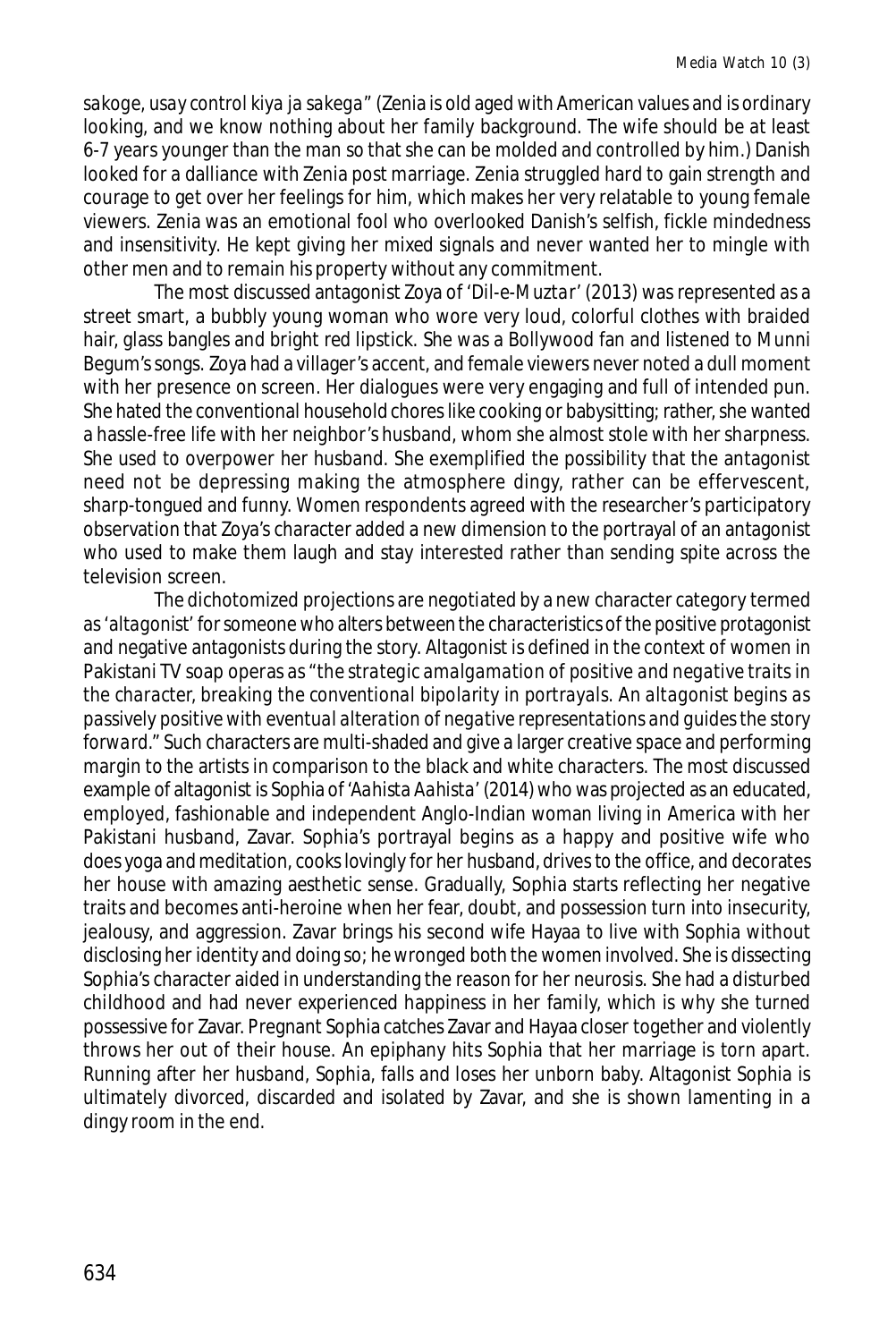*sakoge, usay control kiya ja sakega"* (Zenia is old aged with American values and is ordinary looking, and we know nothing about her family background. The wife should be at least 6-7 years younger than the man so that she can be molded and controlled by him.) Danish looked for a dalliance with Zenia post marriage. Zenia struggled hard to gain strength and courage to get over her feelings for him, which makes her very relatable to young female viewers. Zenia was an emotional fool who overlooked Danish's selfish, fickle mindedness and insensitivity. He kept giving her mixed signals and never wanted her to mingle with other men and to remain his property without any commitment.

The most discussed antagonist Zoya of *'Dil-e-Muztar'* (2013) was represented as a street smart, a bubbly young woman who wore very loud, colorful clothes with braided hair, glass bangles and bright red lipstick. She was a Bollywood fan and listened to Munni Begum's songs. Zoya had a villager's accent, and female viewers never noted a dull moment with her presence on screen. Her dialogues were very engaging and full of intended pun. She hated the conventional household chores like cooking or babysitting; rather, she wanted a hassle-free life with her neighbor's husband, whom she almost stole with her sharpness. She used to overpower her husband. She exemplified the possibility that the antagonist need not be depressing making the atmosphere dingy, rather can be effervescent, sharp-tongued and funny. Women respondents agreed with the researcher's participatory observation that Zoya's character added a new dimension to the portrayal of an antagonist who used to make them laugh and stay interested rather than sending spite across the television screen.

The dichotomized projections are negotiated by a new character category termed as *'altagonist'* for someone who alters between the characteristics of the positive protagonist and negative antagonists during the story. Altagonist is defined in the context of women in Pakistani TV soap operas as *"the strategic amalgamation of positive and negative traits in the character, breaking the conventional bipolarity in portrayals. An altagonist begins as passively positive with eventual alteration of negative representations and guides the story forward."* Such characters are multi-shaded and give a larger creative space and performing margin to the artists in comparison to the black and white characters. The most discussed example of altagonist is Sophia of *'Aahista Aahista'* (2014) who was projected as an educated, employed, fashionable and independent Anglo-Indian woman living in America with her Pakistani husband, Zavar. Sophia's portrayal begins as a happy and positive wife who does yoga and meditation, cooks lovingly for her husband, drives to the office, and decorates her house with amazing aesthetic sense. Gradually, Sophia starts reflecting her negative traits and becomes anti-heroine when her fear, doubt, and possession turn into insecurity, jealousy, and aggression. Zavar brings his second wife Hayaa to live with Sophia without disclosing her identity and doing so; he wronged both the women involved. She is dissecting Sophia's character aided in understanding the reason for her neurosis. She had a disturbed childhood and had never experienced happiness in her family, which is why she turned possessive for Zavar. Pregnant Sophia catches Zavar and Hayaa closer together and violently throws her out of their house. An epiphany hits Sophia that her marriage is torn apart. Running after her husband, Sophia, falls and loses her unborn baby. Altagonist Sophia is ultimately divorced, discarded and isolated by Zavar, and she is shown lamenting in a dingy room in the end.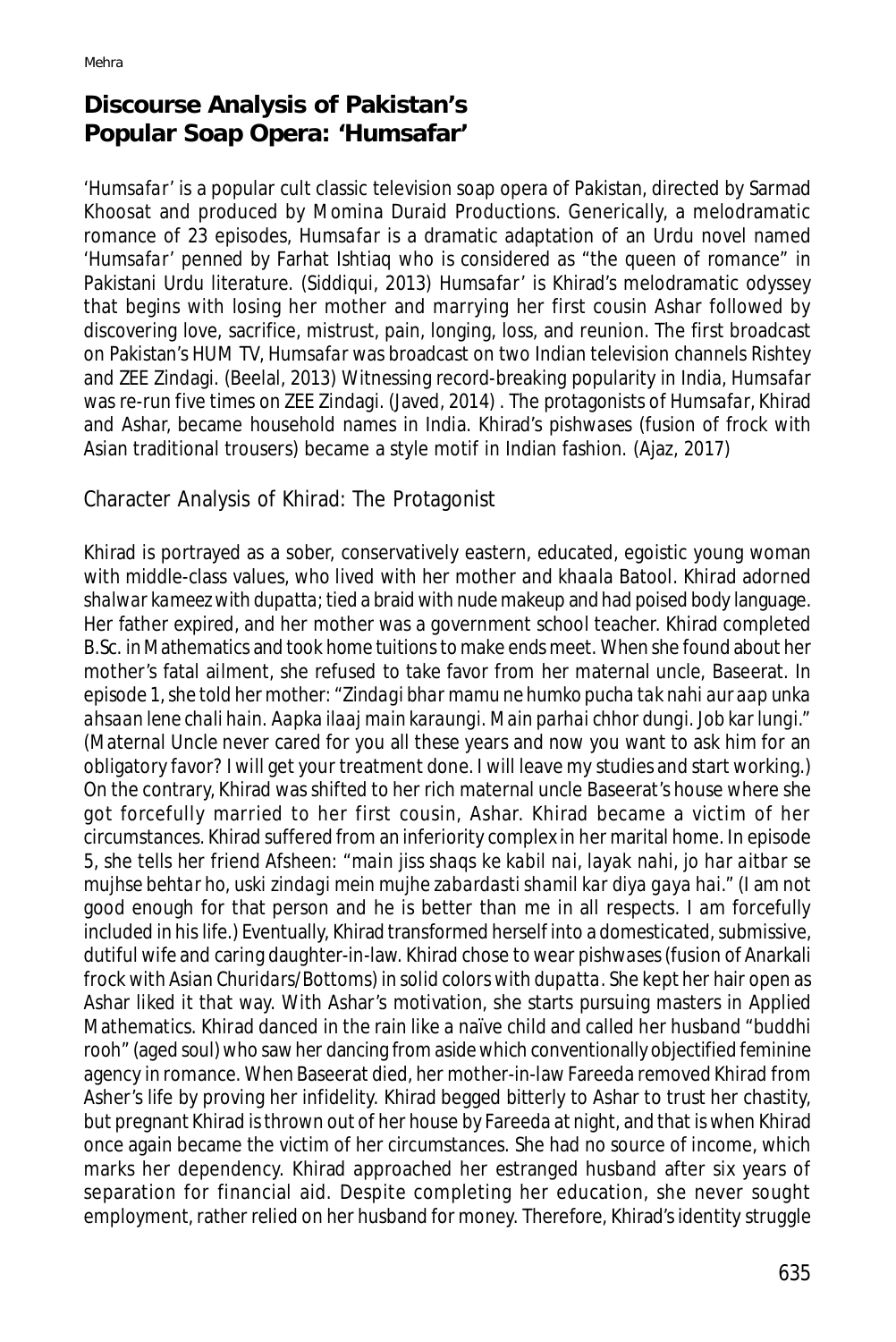# **Discourse Analysis of Pakistan's Popular Soap Opera: '***Humsafar'*

*'Humsafar'* is a popular cult classic television soap opera of Pakistan, directed by Sarmad Khoosat and produced by Momina Duraid Productions. Generically, a melodramatic romance of 23 episodes, *Humsafar* is a dramatic adaptation of an Urdu novel named *'Humsafar'* penned by Farhat Ishtiaq who is considered as "the queen of romance" in Pakistani Urdu literature. (Siddiqui, 2013) *Humsafar'* is Khirad's melodramatic odyssey that begins with losing her mother and marrying her first cousin Ashar followed by discovering love, sacrifice, mistrust, pain, longing, loss, and reunion. The first broadcast on Pakistan's HUM TV, *Humsafar* was broadcast on two Indian television channels Rishtey and ZEE Zindagi. (Beelal, 2013) Witnessing record-breaking popularity in India, *Humsafar* was re-run five times on ZEE Zindagi. (Javed, 2014) . The protagonists of *Humsafar*, Khirad and Ashar, became household names in India. Khirad's *pishwases* (fusion of frock with Asian traditional trousers) became a style motif in Indian fashion. (Ajaz, 2017)

Character Analysis of Khirad: The Protagonist

Khirad is portrayed as a sober, conservatively eastern, educated, egoistic young woman with middle-class values, who lived with her mother and *khaala* Batool. Khirad adorned *shalwar kameez* with *dupatta*; tied a braid with nude makeup and had poised body language. Her father expired, and her mother was a government school teacher. Khirad completed B.Sc. in Mathematics and took home tuitions to make ends meet. When she found about her mother's fatal ailment, she refused to take favor from her maternal uncle, Baseerat. In episode 1, she told her mother: "*Zindagi bhar mamu ne humko pucha tak nahi aur aap unka ahsaan lene chali hain. Aapka ilaaj main karaungi. Main parhai chhor dungi. Job kar lungi."* (Maternal Uncle never cared for you all these years and now you want to ask him for an obligatory favor? I will get your treatment done. I will leave my studies and start working.) On the contrary, Khirad was shifted to her rich maternal uncle Baseerat's house where she got forcefully married to her first cousin, Ashar. Khirad became a victim of her circumstances. Khirad suffered from an inferiority complex in her marital home. In episode 5, she tells her friend Afsheen: "*main jiss shaqs ke kabil nai, layak nahi, jo har aitbar se mujhse behtar ho, uski zindagi mein mujhe zabardasti shamil kar diya gaya hai."* (I am not good enough for that person and he is better than me in all respects. I am forcefully included in his life.) Eventually, Khirad transformed herself into a domesticated, submissive, dutiful wife and caring daughter-in-law. Khirad chose to wear *pishwases* (fusion of Anarkali frock with Asian *Churidars*/Bottoms) in solid colors with *dupatta.* She kept her hair open as Ashar liked it that way. With Ashar's motivation, she starts pursuing masters in Applied Mathematics. Khirad danced in the rain like a naïve child and called her husband *"buddhi rooh"* (aged soul) who saw her dancing from aside which conventionally objectified feminine agency in romance. When Baseerat died, her mother-in-law Fareeda removed Khirad from Asher's life by proving her infidelity. Khirad begged bitterly to Ashar to trust her chastity, but pregnant Khirad is thrown out of her house by Fareeda at night, and that is when Khirad once again became the victim of her circumstances. She had no source of income, which marks her dependency. Khirad approached her estranged husband after six years of separation for financial aid. Despite completing her education, she never sought employment, rather relied on her husband for money. Therefore, Khirad's identity struggle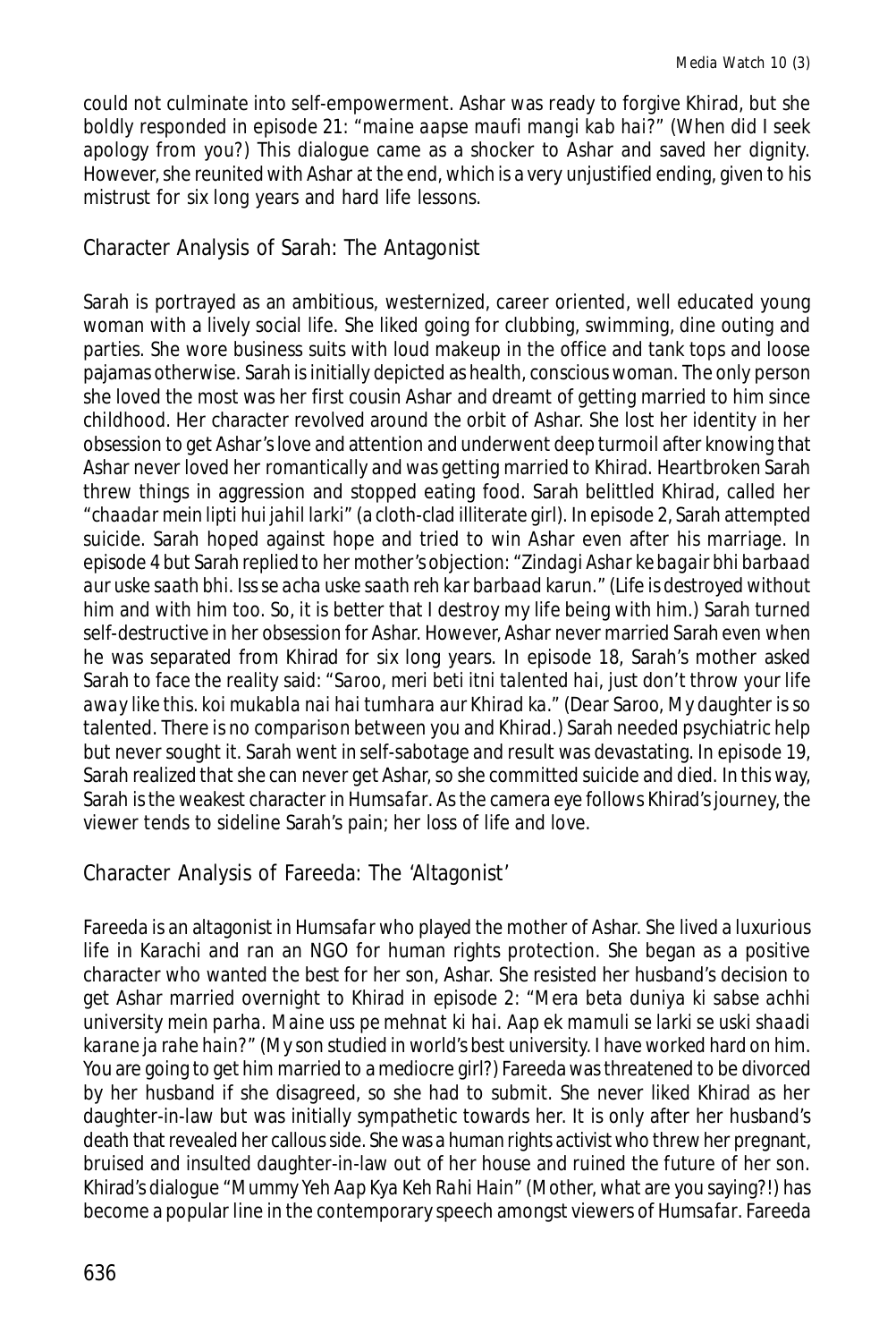could not culminate into self-empowerment. Ashar was ready to forgive Khirad, but she boldly responded in episode 21: *"maine aapse maufi mangi kab hai?"* (When did I seek apology from you?) This dialogue came as a shocker to Ashar and saved her dignity. However, she reunited with Ashar at the end, which is a very unjustified ending, given to his mistrust for six long years and hard life lessons.

Character Analysis of Sarah: The Antagonist

Sarah is portrayed as an ambitious, westernized, career oriented, well educated young woman with a lively social life. She liked going for clubbing, swimming, dine outing and parties. She wore business suits with loud makeup in the office and tank tops and loose pajamas otherwise. Sarah is initially depicted as health, conscious woman. The only person she loved the most was her first cousin Ashar and dreamt of getting married to him since childhood. Her character revolved around the orbit of Ashar. She lost her identity in her obsession to get Ashar's love and attention and underwent deep turmoil after knowing that Ashar never loved her romantically and was getting married to Khirad. Heartbroken Sarah threw things in aggression and stopped eating food. Sarah belittled Khirad, called her *"chaadar mein lipti hui jahil larki"* (a cloth-clad illiterate girl). In episode 2, Sarah attempted suicide. Sarah hoped against hope and tried to win Ashar even after his marriage. In episode 4 but Sarah replied to her mother's objection: "*Zindagi Ashar ke bagair bhi barbaad aur uske saath bhi. Iss se acha uske saath reh kar barbaad karun.*" (Life is destroyed without him and with him too. So, it is better that I destroy my life being with him.) Sarah turned self-destructive in her obsession for Ashar. However, Ashar never married Sarah even when he was separated from Khirad for six long years. In episode 18, Sarah's mother asked Sarah to face the reality said: *"Saroo, meri beti itni talented hai, just don't throw your life away like this. koi mukabla nai hai tumhara aur Khirad ka."* (Dear Saroo, My daughter is so talented. There is no comparison between you and Khirad.) Sarah needed psychiatric help but never sought it. Sarah went in self-sabotage and result was devastating. In episode 19, Sarah realized that she can never get Ashar, so she committed suicide and died. In this way, Sarah is the weakest character in *Humsafar*. As the camera eye follows Khirad's journey, the viewer tends to sideline Sarah's pain; her loss of life and love.

Character Analysis of Fareeda: The 'Altagonist'

Fareeda is an altagonist in *Humsafar* who played the mother of Ashar. She lived a luxurious life in Karachi and ran an NGO for human rights protection. She began as a positive character who wanted the best for her son, Ashar. She resisted her husband's decision to get Ashar married overnight to Khirad in episode 2: *"Mera beta duniya ki sabse achhi university mein parha. Maine uss pe mehnat ki hai. Aap ek mamuli se larki se uski shaadi karane ja rahe hain?"* (My son studied in world's best university. I have worked hard on him. You are going to get him married to a mediocre girl?) Fareeda was threatened to be divorced by her husband if she disagreed, so she had to submit. She never liked Khirad as her daughter-in-law but was initially sympathetic towards her. It is only after her husband's death that revealed her callous side. She was a human rights activist who threw her pregnant, bruised and insulted daughter-in-law out of her house and ruined the future of her son. Khirad's dialogue *"Mummy Yeh Aap Kya Keh Rahi Hain"* (Mother, what are you saying?!) has become a popular line in the contemporary speech amongst viewers of *Humsafar*. Fareeda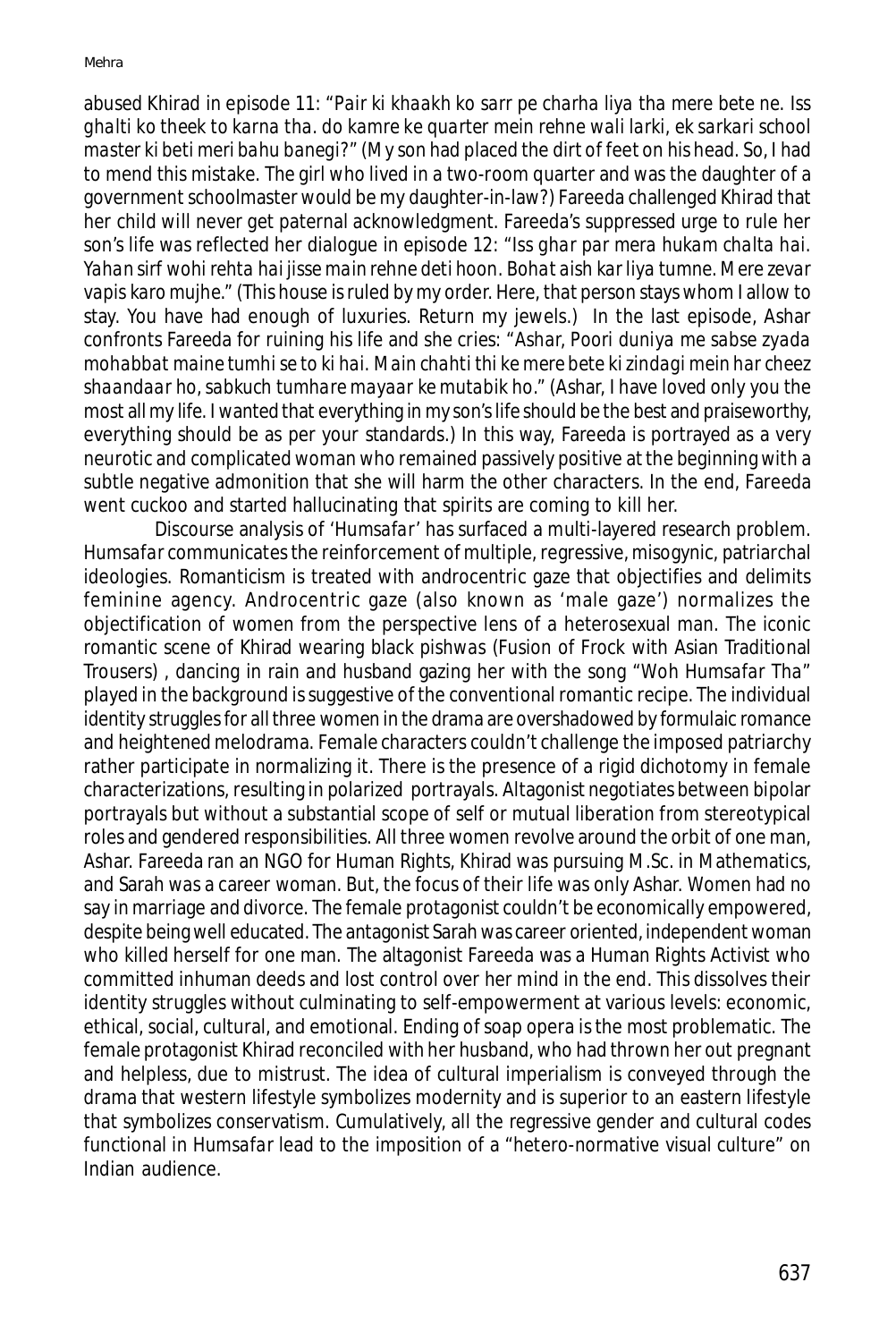abused Khirad in episode 11: "*Pair ki khaakh ko sarr pe charha liya tha mere bete ne. Iss ghalti ko theek to karna tha. do kamre ke quarter mein rehne wali larki, ek sarkari school master ki beti meri bahu banegi?"* (My son had placed the dirt of feet on his head. So, I had to mend this mistake. The girl who lived in a two-room quarter and was the daughter of a government schoolmaster would be my daughter-in-law?) Fareeda challenged Khirad that her child will never get paternal acknowledgment. Fareeda's suppressed urge to rule her son's life was reflected her dialogue in episode 12: *"Iss ghar par mera hukam chalta hai. Yahan sirf wohi rehta hai jisse main rehne deti hoon. Bohat aish kar liya tumne. Mere zevar vapis karo mujhe."* (This house is ruled by my order. Here, that person stays whom I allow to stay. You have had enough of luxuries. Return my jewels.) In the last episode, Ashar confronts Fareeda for ruining his life and she cries: "*Ashar, Poori duniya me sabse zyada mohabbat maine tumhi se to ki hai. Main chahti thi ke mere bete ki zindagi mein har cheez shaandaar ho, sabkuch tumhare mayaar ke mutabik ho."* (Ashar, I have loved only you the most all my life. I wanted that everything in my son's life should be the best and praiseworthy, everything should be as per your standards.) In this way, Fareeda is portrayed as a very neurotic and complicated woman who remained passively positive at the beginning with a subtle negative admonition that she will harm the other characters. In the end, Fareeda went cuckoo and started hallucinating that spirits are coming to kill her.

Discourse analysis of *'Humsafar'* has surfaced a multi-layered research problem. *Humsafar* communicates the reinforcement of multiple, regressive, misogynic, patriarchal ideologies. Romanticism is treated with androcentric gaze that objectifies and delimits feminine agency. Androcentric gaze (also known as 'male gaze') normalizes the objectification of women from the perspective lens of a heterosexual man. The iconic romantic scene of Khirad wearing black *pishwas* (Fusion of Frock with Asian Traditional Trousers) *,* dancing in rain and husband gazing her with the song *"Woh Humsafar Tha"* played in the background is suggestive of the conventional romantic recipe. The individual identity struggles for all three women in the drama are overshadowed by formulaic romance and heightened melodrama. Female characters couldn't challenge the imposed patriarchy rather participate in normalizing it. There is the presence of a rigid dichotomy in female characterizations, resulting in polarized portrayals. Altagonist negotiates between bipolar portrayals but without a substantial scope of self or mutual liberation from stereotypical roles and gendered responsibilities. All three women revolve around the orbit of one man, Ashar. Fareeda ran an NGO for Human Rights, Khirad was pursuing M.Sc. in Mathematics, and Sarah was a career woman. But, the focus of their life was only Ashar. Women had no say in marriage and divorce. The female protagonist couldn't be economically empowered, despite being well educated. The antagonist Sarah was career oriented, independent woman who killed herself for one man. The altagonist Fareeda was a Human Rights Activist who committed inhuman deeds and lost control over her mind in the end. This dissolves their identity struggles without culminating to self-empowerment at various levels: economic, ethical, social, cultural, and emotional. Ending of soap opera is the most problematic. The female protagonist Khirad reconciled with her husband, who had thrown her out pregnant and helpless, due to mistrust. The idea of cultural imperialism is conveyed through the drama that western lifestyle symbolizes modernity and is superior to an eastern lifestyle that symbolizes conservatism. Cumulatively, all the regressive gender and cultural codes functional in *Humsafar* lead to the imposition of a "hetero-normative visual culture" on Indian audience.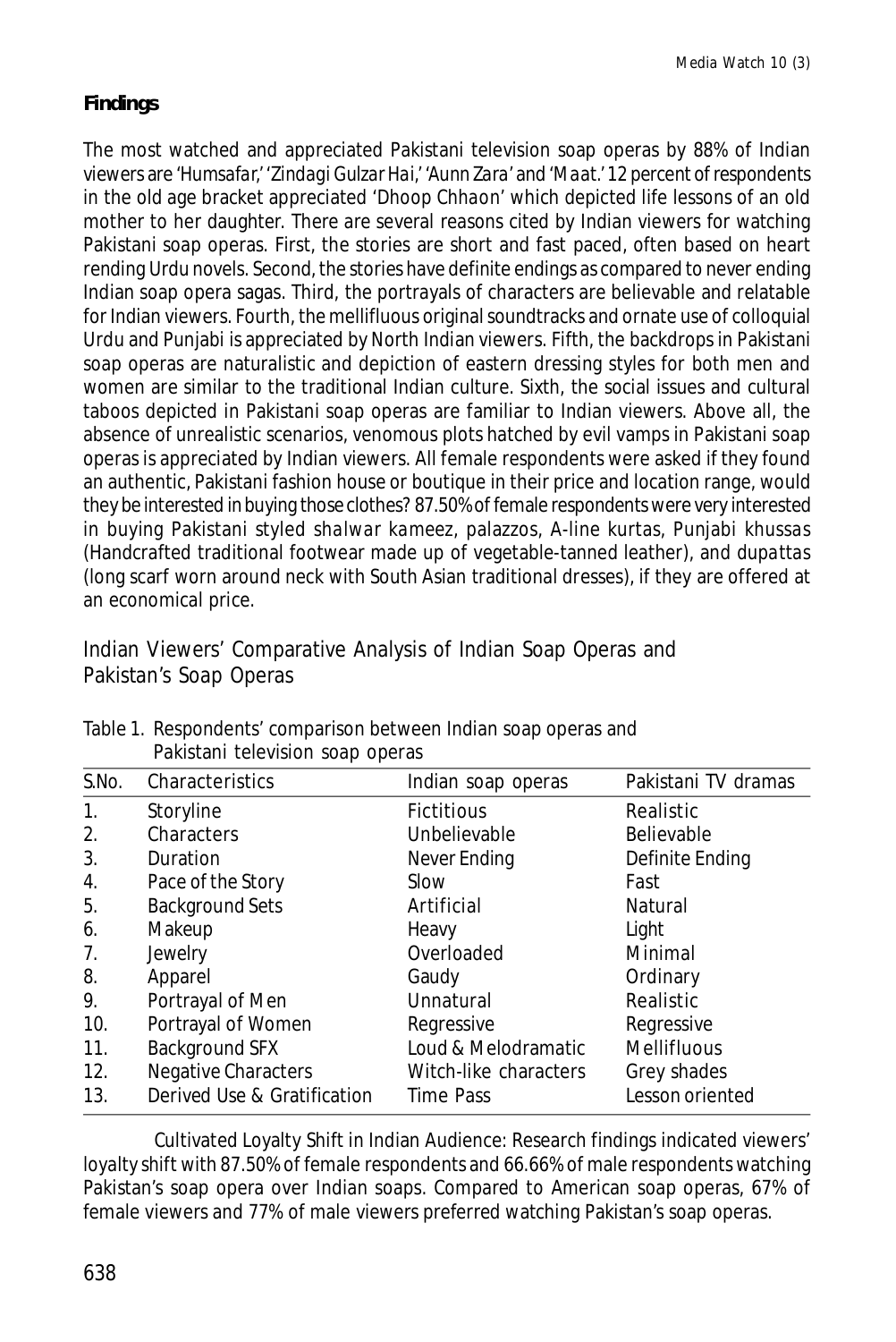# **Findings**

The most watched and appreciated Pakistani television soap operas by 88% of Indian viewers are '*Humsafar,' 'Zindagi Gulzar Hai,' 'Aunn Zara'* and '*Maat.'* 12 percent of respondents in the old age bracket appreciated '*Dhoop Chhaon'* which depicted life lessons of an old mother to her daughter. There are several reasons cited by Indian viewers for watching Pakistani soap operas. First, the stories are short and fast paced, often based on heart rending Urdu novels. Second, the stories have definite endings as compared to never ending Indian soap opera sagas. Third, the portrayals of characters are believable and relatable for Indian viewers. Fourth, the mellifluous original soundtracks and ornate use of colloquial Urdu and Punjabi is appreciated by North Indian viewers. Fifth, the backdrops in Pakistani soap operas are naturalistic and depiction of eastern dressing styles for both men and women are similar to the traditional Indian culture. Sixth, the social issues and cultural taboos depicted in Pakistani soap operas are familiar to Indian viewers. Above all, the absence of unrealistic scenarios, venomous plots hatched by evil vamps in Pakistani soap operas is appreciated by Indian viewers. All female respondents were asked if they found an authentic, Pakistani fashion house or boutique in their price and location range, would they be interested in buying those clothes? 87.50% of female respondents were very interested in buying Pakistani styled *shalwar kameez*, palazzos, A-line kurtas, Punjabi *khussas* (Handcrafted traditional footwear made up of vegetable-tanned leather), and *dupattas* (long scarf worn around neck with South Asian traditional dresses), if they are offered at an economical price.

Indian Viewers' Comparative Analysis of Indian Soap Operas and Pakistan's Soap Operas

| S.No. | Characteristics             | Indian soap operas    | Pakistani TV dramas |
|-------|-----------------------------|-----------------------|---------------------|
| 1.    | Storyline                   | <b>Fictitious</b>     | Realistic           |
| 2.    | Characters                  | Unbelievable          | <b>Believable</b>   |
| 3.    | Duration                    | Never Ending          | Definite Ending     |
| 4.    | Pace of the Story           | Slow                  | Fast                |
| 5.    | <b>Background Sets</b>      | Artificial            | Natural             |
| 6.    | Makeup                      | Heavy                 | Light               |
| 7.    | Jewelry                     | Overloaded            | Minimal             |
| 8.    | Apparel                     | Gaudy                 | Ordinary            |
| 9.    | Portrayal of Men            | Unnatural             | Realistic           |
| 10.   | Portrayal of Women          | Regressive            | Regressive          |
| 11.   | Background SFX              | Loud & Melodramatic   | Mellifluous         |
| 12.   | Negative Characters         | Witch-like characters | Grey shades         |
| 13.   | Derived Use & Gratification | Time Pass             | Lesson oriented     |

Table 1. Respondents' comparison between Indian soap operas and Pakistani television soap operas

Cultivated Loyalty Shift in Indian Audience: Research findings indicated viewers' loyalty shift with 87.50% of female respondents and 66.66% of male respondents watching Pakistan's soap opera over Indian soaps. Compared to American soap operas, 67% of female viewers and 77% of male viewers preferred watching Pakistan's soap operas.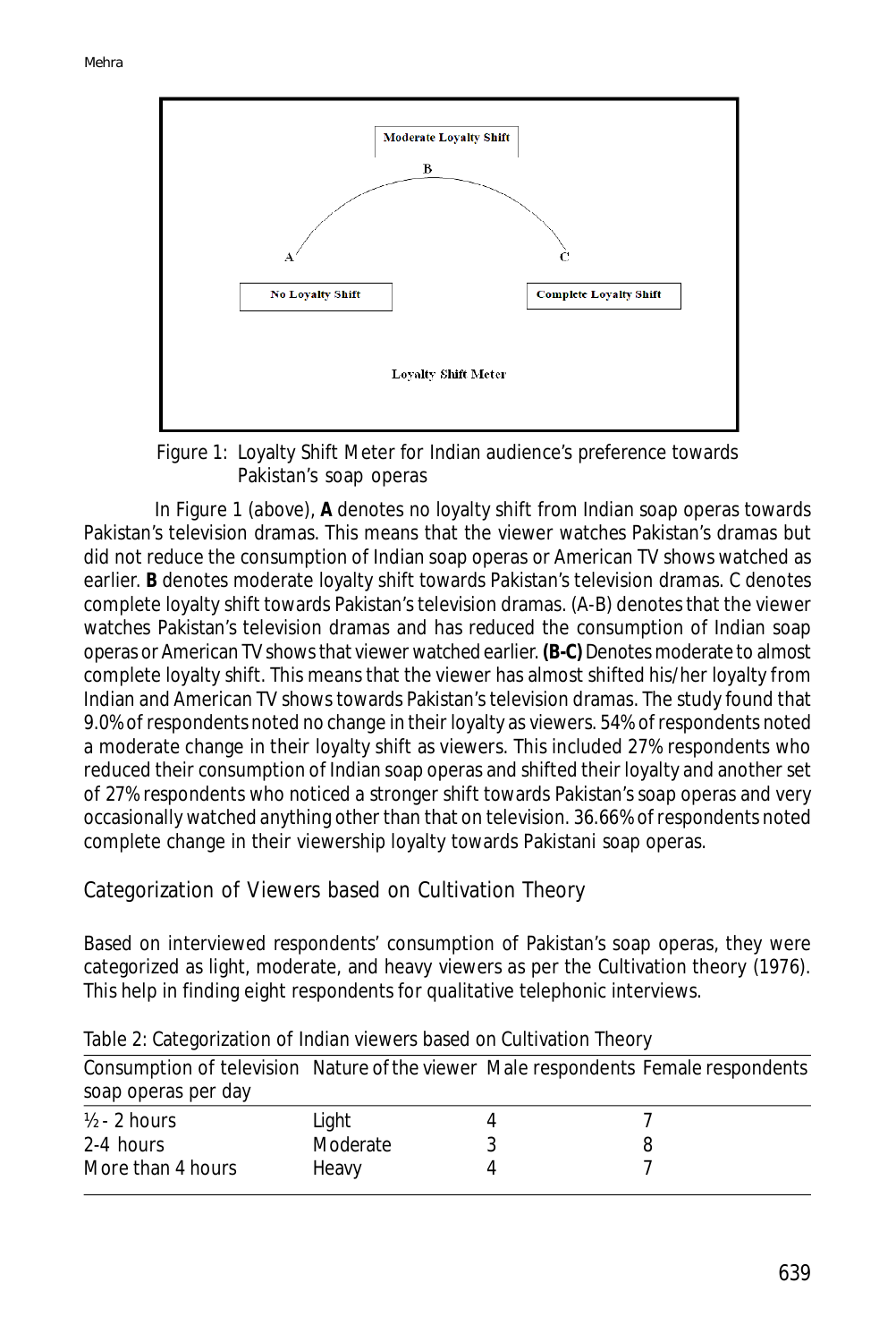

Figure 1: Loyalty Shift Meter for Indian audience's preference towards Pakistan's soap operas

In Figure 1 (above), **A** denotes no loyalty shift from Indian soap operas towards Pakistan's television dramas. This means that the viewer watches Pakistan's dramas but did not reduce the consumption of Indian soap operas or American TV shows watched as earlier. **B** denotes moderate loyalty shift towards Pakistan's television dramas. C denotes complete loyalty shift towards Pakistan's television dramas. (A-B) denotes that the viewer watches Pakistan's television dramas and has reduced the consumption of Indian soap operas or American TV shows that viewer watched earlier. **(B-C)** Denotes moderate to almost complete loyalty shift. This means that the viewer has almost shifted his/her loyalty from Indian and American TV shows towards Pakistan's television dramas. The study found that 9.0% of respondents noted no change in their loyalty as viewers. 54% of respondents noted a moderate change in their loyalty shift as viewers. This included 27% respondents who reduced their consumption of Indian soap operas and shifted their loyalty and another set of 27% respondents who noticed a stronger shift towards Pakistan's soap operas and very occasionally watched anything other than that on television. 36.66% of respondents noted complete change in their viewership loyalty towards Pakistani soap operas.

Categorization of Viewers based on Cultivation Theory

Based on interviewed respondents' consumption of Pakistan's soap operas, they were categorized as light, moderate, and heavy viewers as per the Cultivation theory (1976). This help in finding eight respondents for qualitative telephonic interviews.

| Consumption of television Nature of the viewer Male respondents Female respondents<br>soap operas per day |          |  |
|-----------------------------------------------------------------------------------------------------------|----------|--|
| $\frac{1}{2}$ - 2 hours                                                                                   | Light    |  |
| 2-4 hours                                                                                                 | Moderate |  |
| More than 4 hours                                                                                         | Heavy    |  |

Table 2: Categorization of Indian viewers based on Cultivation Theory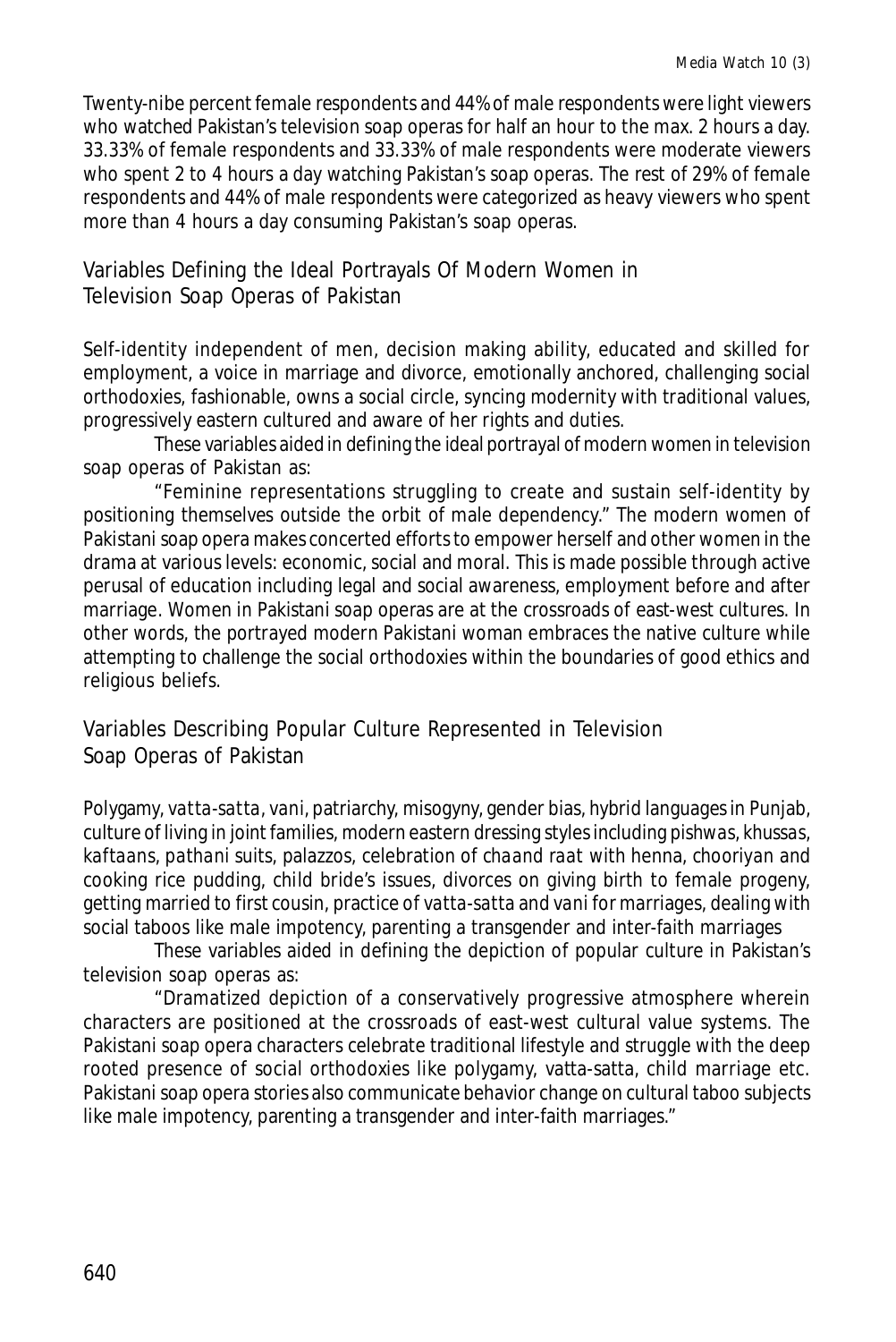Twenty-nibe percent female respondents and 44% of male respondents were light viewers who watched Pakistan's television soap operas for half an hour to the max. 2 hours a day. 33.33% of female respondents and 33.33% of male respondents were moderate viewers who spent 2 to 4 hours a day watching Pakistan's soap operas. The rest of 29% of female respondents and 44% of male respondents were categorized as heavy viewers who spent more than 4 hours a day consuming Pakistan's soap operas.

# Variables Defining the Ideal Portrayals Of Modern Women in Television Soap Operas of Pakistan

Self-identity independent of men, decision making ability, educated and skilled for employment, a voice in marriage and divorce, emotionally anchored, challenging social orthodoxies, fashionable, owns a social circle, syncing modernity with traditional values, progressively eastern cultured and aware of her rights and duties.

These variables aided in defining the ideal portrayal of modern women in television soap operas of Pakistan as:

"Feminine representations struggling to create and sustain self-identity by positioning themselves outside the orbit of male dependency." The modern women of Pakistani soap opera makes concerted efforts to empower herself and other women in the drama at various levels: economic, social and moral. This is made possible through active perusal of education including legal and social awareness, employment before and after marriage. Women in Pakistani soap operas are at the crossroads of east-west cultures. In other words, the portrayed modern Pakistani woman embraces the native culture while attempting to challenge the social orthodoxies within the boundaries of good ethics and religious beliefs.

Variables Describing Popular Culture Represented in Television Soap Operas of Pakistan

Polygamy, *vatta-satta*, *vani*, patriarchy, misogyny, gender bias, hybrid languages in Punjab, culture of living in joint families, modern eastern dressing styles including *pishwas, khussas, kaftaans, pathani* suits, palazzos, celebration of *chaand raat* with henna, *chooriyan* and cooking rice pudding, child bride's issues, divorces on giving birth to female progeny, getting married to first cousin, practice of *vatta-satta* and *vani* for marriages, dealing with social taboos like male impotency, parenting a transgender and inter-faith marriages

These variables aided in defining the depiction of popular culture in Pakistan's television soap operas as:

"Dramatized depiction of a conservatively progressive atmosphere wherein characters are positioned at the crossroads of east-west cultural value systems. The Pakistani soap opera characters celebrate traditional lifestyle and struggle with the deep rooted presence of social orthodoxies like polygamy, vatta-satta, child marriage etc. Pakistani soap opera stories also communicate behavior change on cultural taboo subjects like male impotency, parenting a transgender and inter-faith marriages."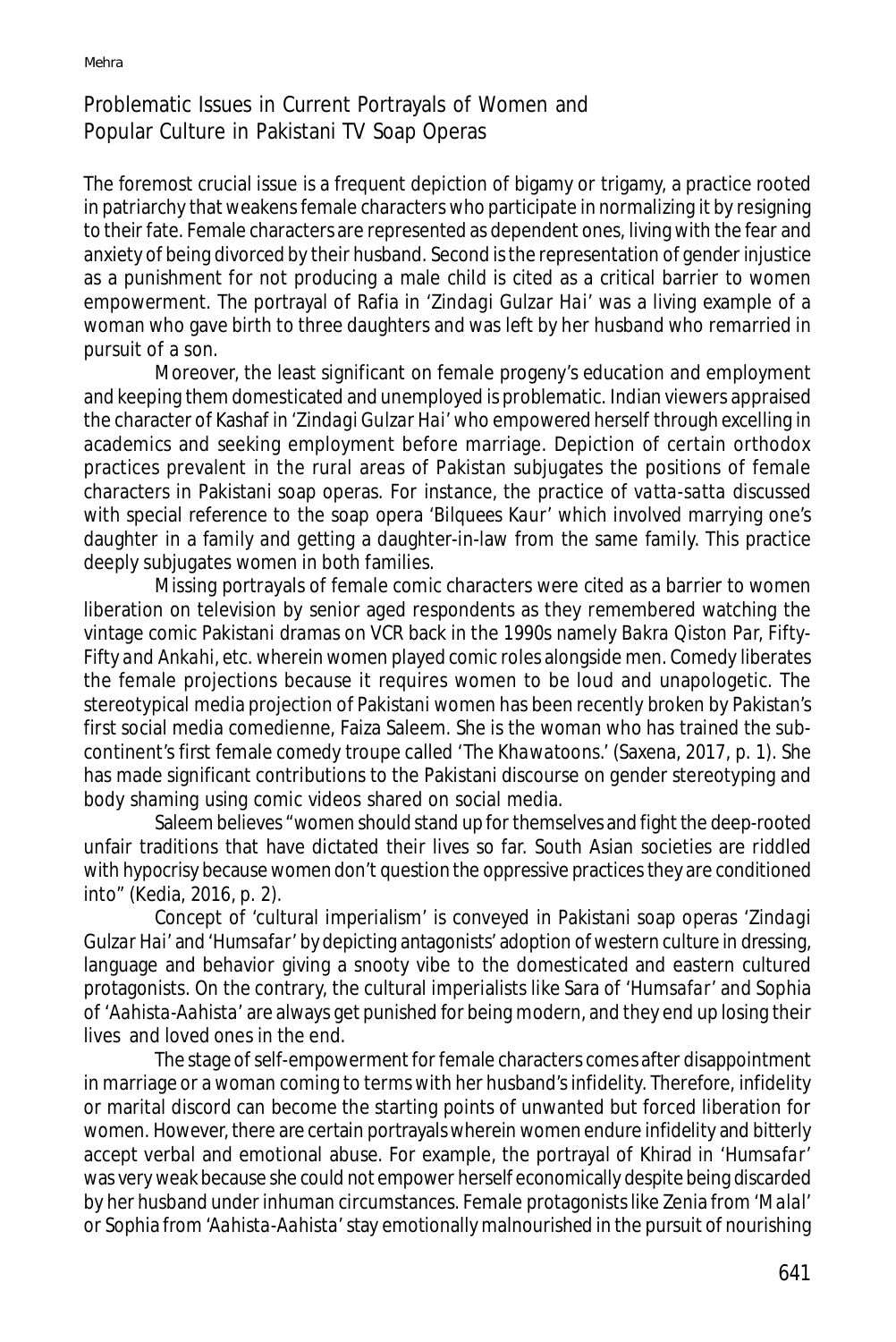# Problematic Issues in Current Portrayals of Women and Popular Culture in Pakistani TV Soap Operas

The foremost crucial issue is a frequent depiction of bigamy or trigamy, a practice rooted in patriarchy that weakens female characters who participate in normalizing it by resigning to their fate. Female characters are represented as dependent ones, living with the fear and anxiety of being divorced by their husband. Second is the representation of gender injustice as a punishment for not producing a male child is cited as a critical barrier to women empowerment. The portrayal of Rafia in '*Zindagi Gulzar Hai'* was a living example of a woman who gave birth to three daughters and was left by her husband who remarried in pursuit of a son.

Moreover, the least significant on female progeny's education and employment and keeping them domesticated and unemployed is problematic. Indian viewers appraised the character of Kashaf in '*Zindagi Gulzar Hai'* who empowered herself through excelling in academics and seeking employment before marriage. Depiction of certain orthodox practices prevalent in the rural areas of Pakistan subjugates the positions of female characters in Pakistani soap operas. For instance, the practice of *vatta-satta* discussed with special reference to the soap opera *'Bilquees Kaur'* which involved marrying one's daughter in a family and getting a daughter-in-law from the same family. This practice deeply subjugates women in both families.

Missing portrayals of female comic characters were cited as a barrier to women liberation on television by senior aged respondents as they remembered watching the vintage comic Pakistani dramas on VCR back in the 1990s namely *Bakra Qiston Par, Fifty-Fifty and Ankahi,* etc. wherein women played comic roles alongside men. Comedy liberates the female projections because it requires women to be loud and unapologetic. The stereotypical media projection of Pakistani women has been recently broken by Pakistan's first social media comedienne, Faiza Saleem. She is the woman who has trained the subcontinent's first female comedy troupe called 'The *Khawatoons*.' (Saxena, 2017, p. 1). She has made significant contributions to the Pakistani discourse on gender stereotyping and body shaming using comic videos shared on social media.

Saleem believes "women should stand up for themselves and fight the deep-rooted unfair traditions that have dictated their lives so far. South Asian societies are riddled with hypocrisy because women don't question the oppressive practices they are conditioned into" (Kedia, 2016, p. 2).

Concept of 'cultural imperialism' is conveyed in Pakistani soap operas '*Zindagi Gulzar Hai'* and '*Humsafar'* by depicting antagonists' adoption of western culture in dressing, language and behavior giving a snooty vibe to the domesticated and eastern cultured protagonists. On the contrary, the cultural imperialists like Sara of '*Humsafar'* and Sophia of '*Aahista-Aahista'* are always get punished for being modern, and they end up losing their lives and loved ones in the end.

The stage of self-empowerment for female characters comes after disappointment in marriage or a woman coming to terms with her husband's infidelity. Therefore, infidelity or marital discord can become the starting points of unwanted but forced liberation for women. However, there are certain portrayals wherein women endure infidelity and bitterly accept verbal and emotional abuse. For example, the portrayal of Khirad in '*Humsafar'* was very weak because she could not empower herself economically despite being discarded by her husband under inhuman circumstances. Female protagonists like Zenia from *'Malal'* or Sophia from *'Aahista-Aahista'* stay emotionally malnourished in the pursuit of nourishing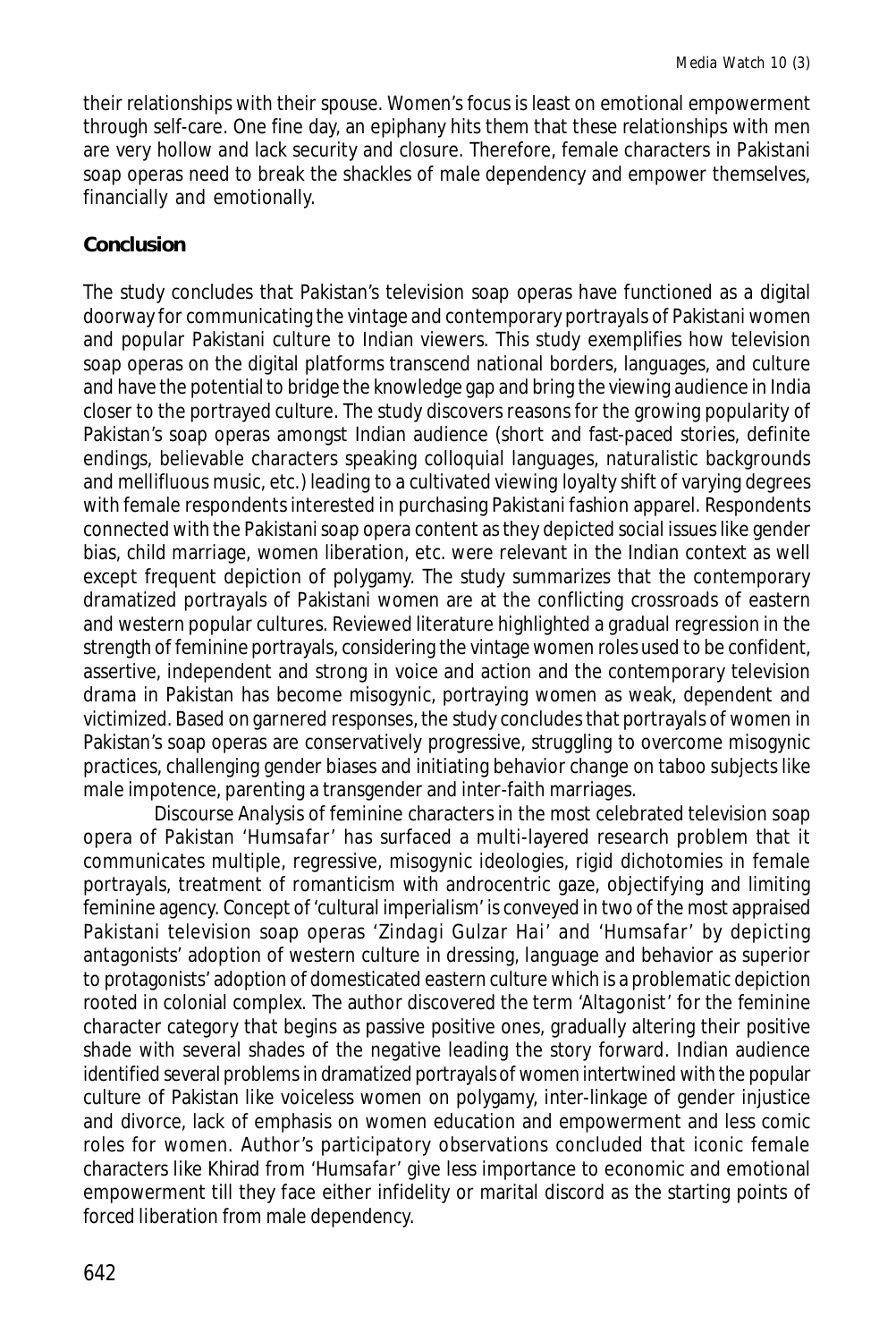their relationships with their spouse. Women's focus is least on emotional empowerment through self-care. One fine day, an epiphany hits them that these relationships with men are very hollow and lack security and closure. Therefore, female characters in Pakistani soap operas need to break the shackles of male dependency and empower themselves, financially and emotionally.

#### **Conclusion**

The study concludes that Pakistan's television soap operas have functioned as a digital doorway for communicating the vintage and contemporary portrayals of Pakistani women and popular Pakistani culture to Indian viewers. This study exemplifies how television soap operas on the digital platforms transcend national borders, languages, and culture and have the potential to bridge the knowledge gap and bring the viewing audience in India closer to the portrayed culture. The study discovers reasons for the growing popularity of Pakistan's soap operas amongst Indian audience (short and fast-paced stories, definite endings, believable characters speaking colloquial languages, naturalistic backgrounds and mellifluous music, etc.) leading to a cultivated viewing loyalty shift of varying degrees with female respondents interested in purchasing Pakistani fashion apparel. Respondents connected with the Pakistani soap opera content as they depicted social issues like gender bias, child marriage, women liberation, etc. were relevant in the Indian context as well except frequent depiction of polygamy. The study summarizes that the contemporary dramatized portrayals of Pakistani women are at the conflicting crossroads of eastern and western popular cultures. Reviewed literature highlighted a gradual regression in the strength of feminine portrayals, considering the vintage women roles used to be confident, assertive, independent and strong in voice and action and the contemporary television drama in Pakistan has become misogynic, portraying women as weak, dependent and victimized. Based on garnered responses, the study concludes that portrayals of women in Pakistan's soap operas are conservatively progressive, struggling to overcome misogynic practices, challenging gender biases and initiating behavior change on taboo subjects like male impotence, parenting a transgender and inter-faith marriages.

Discourse Analysis of feminine characters in the most celebrated television soap opera of Pakistan *'Humsafar'* has surfaced a multi-layered research problem that it communicates multiple, regressive, misogynic ideologies, rigid dichotomies in female portrayals, treatment of romanticism with androcentric gaze, objectifying and limiting feminine agency. Concept of 'cultural imperialism' is conveyed in two of the most appraised Pakistani television soap operas '*Zindagi Gulzar Hai'* and '*Humsafar'* by depicting antagonists' adoption of western culture in dressing, language and behavior as superior to protagonists' adoption of domesticated eastern culture which is a problematic depiction rooted in colonial complex. The author discovered the term *'Altagonist'* for the feminine character category that begins as passive positive ones, gradually altering their positive shade with several shades of the negative leading the story forward. Indian audience identified several problems in dramatized portrayals of women intertwined with the popular culture of Pakistan like voiceless women on polygamy, inter-linkage of gender injustice and divorce, lack of emphasis on women education and empowerment and less comic roles for women. Author's participatory observations concluded that iconic female characters like Khirad from *'Humsafar'* give less importance to economic and emotional empowerment till they face either infidelity or marital discord as the starting points of forced liberation from male dependency.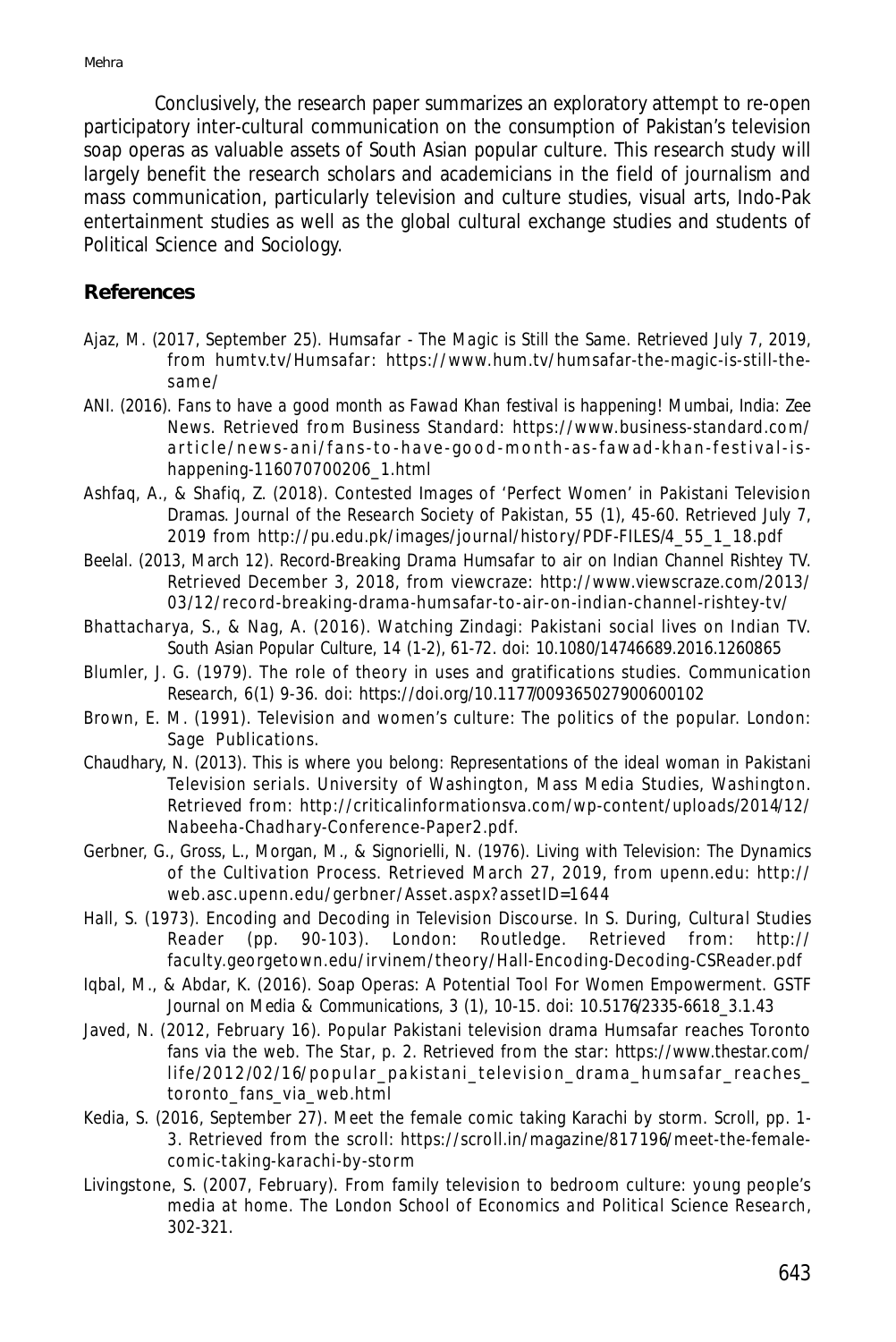Conclusively, the research paper summarizes an exploratory attempt to re-open participatory inter-cultural communication on the consumption of Pakistan's television soap operas as valuable assets of South Asian popular culture. This research study will largely benefit the research scholars and academicians in the field of journalism and mass communication, particularly television and culture studies, visual arts, Indo-Pak entertainment studies as well as the global cultural exchange studies and students of Political Science and Sociology.

#### **References**

- Ajaz, M. (2017, September 25). *Humsafar The Magic is Still the Same*. Retrieved July 7, 2019, from humtv.tv/Humsafar: https://www.hum.tv/humsafar-the-magic-is-still-thesam e/
- ANI. (2016). *Fans to have a good month as Fawad Khan festival is happening!* Mumbai, India: Zee News. Retrieved from Business Standard: https://www.business-standard.com/ article/news-ani/fans-to-have-good-month-as-fawad-khan-festival-ishappening-116070700206\_1.html
- Ashfaq, A., & Shafiq, Z. (2018). Contested Images of 'Perfect Women' in Pakistani Television Dramas. *Journal of the Research Society of Pakistan, 55* (1), 45-60. Retrieved July 7, 2019 from http://pu.edu.pk/images/journal/history/PDF-FILES/4\_55\_1\_18.pdf
- Beelal. (2013, March 12). *Record-Breaking Drama Humsafar to air on Indian Channel Rishtey TV.* Retrieved December 3, 2018, from viewcraze: http://www.viewscraze.com/2013/ 03/12/record-breaking-drama-humsafar-to-air-on-indian-channel-rishtey-tv/
- Bhattacharya, S., & Nag, A. (2016). Watching Zindagi: Pakistani social lives on Indian TV. *South Asian Popular Culture, 14* (1-2), 61-72. doi: 10.1080/14746689.2016.1260865
- Blumler, J. G. (1979). The role of theory in uses and gratifications studies. *Communication Research*, *6*(1) 9-36. doi: https://doi.org/10.1177/009365027900600102
- Brown, E. M. (1991). Television and women's culture: The politics of the popular. London: Sage Publications.
- Chaudhary, N. (2013). *This is where you belong: Representations of the ideal woman in Pakistani Television serials.* University of Washington, Mass Media Studies, Washington. Retrieved from: http://criticalinformationsva.com/wp-content/uploads/2014/12/ Nabeeha-Chadhary-Conference-Paper2.pdf.
- Gerbner, G., Gross, L., Morgan, M., & Signorielli, N. (1976). *Living with Television: The Dynamics of the Cultivation Process.* Retrieved March 27, 2019, from upenn.edu: http:// web.asc.upenn.edu/gerbner/Asset.aspx?assetID=1644
- Hall, S. (1973). Encoding and Decoding in Television Discourse. In S. During, *Cultural Studies Reader* (pp. 90-103). London: Routledge. Retrieved from: http:// faculty.georgetown.edu/irvinem/theory/Hall-Encoding-Decoding-CSReader.pdf
- Iqbal, M., & Abdar, K. (2016). Soap Operas: A Potential Tool For Women Empowerment. *GSTF Journal on Media & Communications, 3* (1), 10-15. doi: 10.5176/2335-6618\_3.1.43
- Javed, N. (2012, February 16). Popular Pakistani television drama Humsafar reaches Toronto fans via the web. T*he Star*, p. 2. Retrieved from the star: https://www.thestar.com/ life/2012/02/16/popular pakistani television drama humsafar reaches toronto\_fans\_via\_web.html
- Kedia, S. (2016, September 27). Meet the female comic taking Karachi by storm. *Scroll*, pp. 1- 3. Retrieved from the scroll: https://scroll.in/magazine/817196/meet-the-femalecomic-taking-karachi-by-storm
- Livingstone, S. (2007, February). From family television to bedroom culture: young people's media at home. *The London School of Economics and Political Science Research*, 302-321.